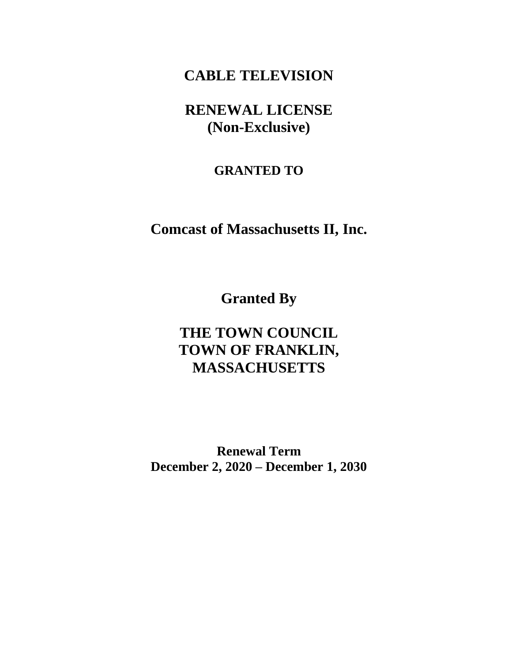## **CABLE TELEVISION**

## **RENEWAL LICENSE (Non-Exclusive)**

## **GRANTED TO**

## **Comcast of Massachusetts II, Inc.**

**Granted By** 

## **THE TOWN COUNCIL TOWN OF FRANKLIN, MASSACHUSETTS**

**Renewal Term December 2, 2020 – December 1, 2030**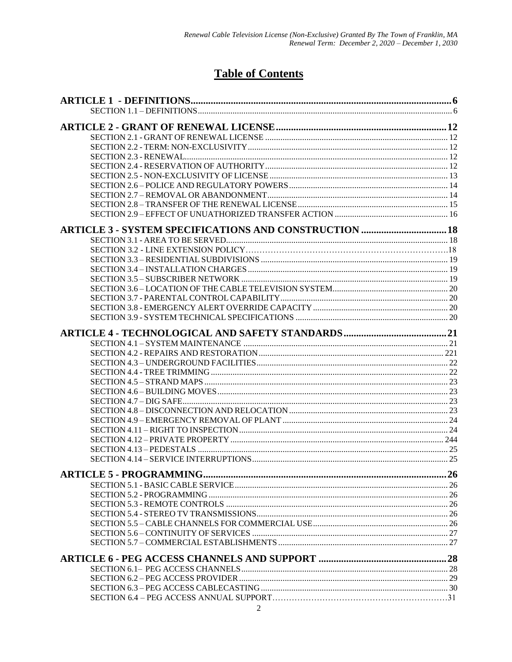## **Table of Contents**

| <b>ARTICLE 3 - SYSTEM SPECIFICATIONS AND CONSTRUCTION  18</b> |  |
|---------------------------------------------------------------|--|
|                                                               |  |
|                                                               |  |
|                                                               |  |
|                                                               |  |
|                                                               |  |
|                                                               |  |
|                                                               |  |
|                                                               |  |
|                                                               |  |
|                                                               |  |
|                                                               |  |
|                                                               |  |
|                                                               |  |
|                                                               |  |
|                                                               |  |
|                                                               |  |
|                                                               |  |
|                                                               |  |
|                                                               |  |
|                                                               |  |
|                                                               |  |
|                                                               |  |
|                                                               |  |
|                                                               |  |
|                                                               |  |
|                                                               |  |
|                                                               |  |
|                                                               |  |
|                                                               |  |
|                                                               |  |
|                                                               |  |
|                                                               |  |
|                                                               |  |
|                                                               |  |
|                                                               |  |
|                                                               |  |
|                                                               |  |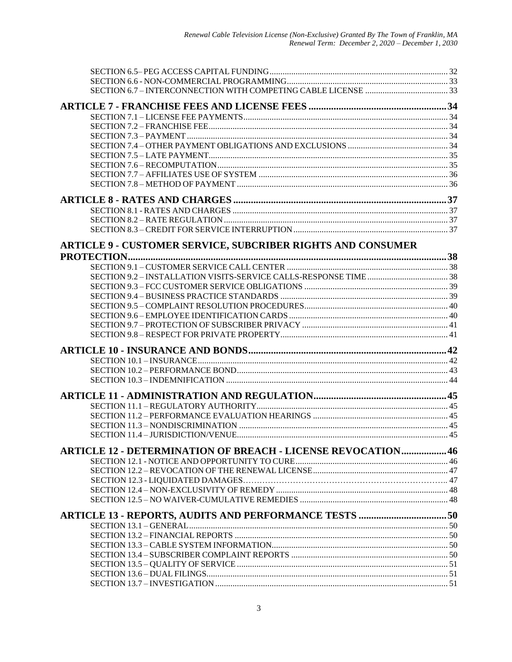| <b>ARTICLE 9 - CUSTOMER SERVICE, SUBCRIBER RIGHTS AND CONSUMER</b>  |  |
|---------------------------------------------------------------------|--|
|                                                                     |  |
|                                                                     |  |
|                                                                     |  |
|                                                                     |  |
|                                                                     |  |
|                                                                     |  |
|                                                                     |  |
|                                                                     |  |
|                                                                     |  |
|                                                                     |  |
|                                                                     |  |
|                                                                     |  |
|                                                                     |  |
|                                                                     |  |
|                                                                     |  |
|                                                                     |  |
|                                                                     |  |
|                                                                     |  |
| <b>ARTICLE 12 - DETERMINATION OF BREACH - LICENSE REVOCATION 46</b> |  |
|                                                                     |  |
|                                                                     |  |
|                                                                     |  |
|                                                                     |  |
|                                                                     |  |
|                                                                     |  |
|                                                                     |  |
|                                                                     |  |
|                                                                     |  |
|                                                                     |  |
|                                                                     |  |
|                                                                     |  |
|                                                                     |  |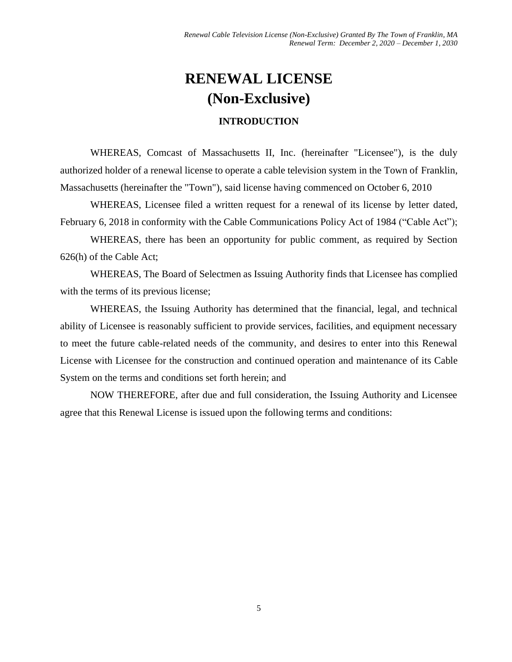# **RENEWAL LICENSE (Non-Exclusive)**

## **INTRODUCTION**

WHEREAS, Comcast of Massachusetts II, Inc. (hereinafter "Licensee"), is the duly authorized holder of a renewal license to operate a cable television system in the Town of Franklin, Massachusetts (hereinafter the "Town"), said license having commenced on October 6, 2010

WHEREAS, Licensee filed a written request for a renewal of its license by letter dated, February 6, 2018 in conformity with the Cable Communications Policy Act of 1984 ("Cable Act");

WHEREAS, there has been an opportunity for public comment, as required by Section 626(h) of the Cable Act;

WHEREAS, The Board of Selectmen as Issuing Authority finds that Licensee has complied with the terms of its previous license;

WHEREAS, the Issuing Authority has determined that the financial, legal, and technical ability of Licensee is reasonably sufficient to provide services, facilities, and equipment necessary to meet the future cable-related needs of the community, and desires to enter into this Renewal License with Licensee for the construction and continued operation and maintenance of its Cable System on the terms and conditions set forth herein; and

NOW THEREFORE, after due and full consideration, the Issuing Authority and Licensee agree that this Renewal License is issued upon the following terms and conditions: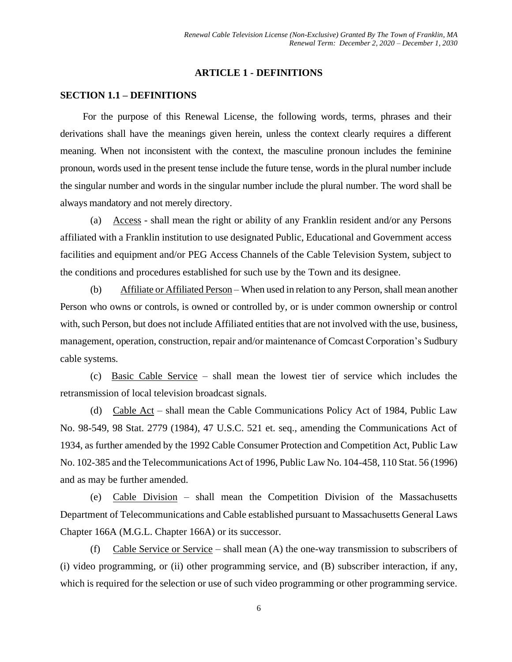#### **ARTICLE 1 - DEFINITIONS**

#### **SECTION 1.1 – DEFINITIONS**

For the purpose of this Renewal License, the following words, terms, phrases and their derivations shall have the meanings given herein, unless the context clearly requires a different meaning. When not inconsistent with the context, the masculine pronoun includes the feminine pronoun, words used in the present tense include the future tense, words in the plural number include the singular number and words in the singular number include the plural number. The word shall be always mandatory and not merely directory.

(a) Access - shall mean the right or ability of any Franklin resident and/or any Persons affiliated with a Franklin institution to use designated Public, Educational and Government access facilities and equipment and/or PEG Access Channels of the Cable Television System, subject to the conditions and procedures established for such use by the Town and its designee.

(b) Affiliate or Affiliated Person – When used in relation to any Person, shall mean another Person who owns or controls, is owned or controlled by, or is under common ownership or control with, such Person, but does not include Affiliated entities that are not involved with the use, business, management, operation, construction, repair and/or maintenance of Comcast Corporation's Sudbury cable systems.

(c) Basic Cable Service – shall mean the lowest tier of service which includes the retransmission of local television broadcast signals.

(d) Cable Act – shall mean the Cable Communications Policy Act of 1984, Public Law No. 98-549, 98 Stat. 2779 (1984), 47 U.S.C. 521 et. seq., amending the Communications Act of 1934, as further amended by the 1992 Cable Consumer Protection and Competition Act, Public Law No. 102-385 and the Telecommunications Act of 1996, Public Law No. 104-458, 110 Stat. 56 (1996) and as may be further amended.

(e) Cable Division – shall mean the Competition Division of the Massachusetts Department of Telecommunications and Cable established pursuant to Massachusetts General Laws Chapter 166A (M.G.L. Chapter 166A) or its successor.

(f) Cable Service or Service – shall mean (A) the one-way transmission to subscribers of (i) video programming, or (ii) other programming service, and (B) subscriber interaction, if any, which is required for the selection or use of such video programming or other programming service.

6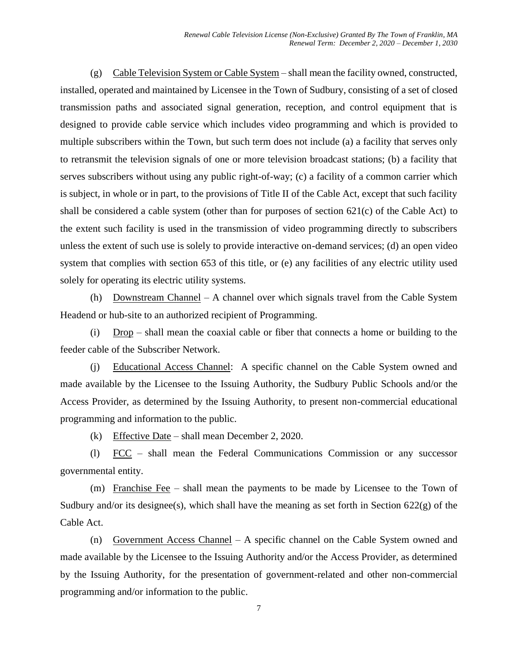(g) Cable Television System or Cable System – shall mean the facility owned, constructed, installed, operated and maintained by Licensee in the Town of Sudbury, consisting of a set of closed transmission paths and associated signal generation, reception, and control equipment that is designed to provide cable service which includes video programming and which is provided to multiple subscribers within the Town, but such term does not include (a) a facility that serves only to retransmit the television signals of one or more television broadcast stations; (b) a facility that serves subscribers without using any public right-of-way; (c) a facility of a common carrier which is subject, in whole or in part, to the provisions of Title II of the Cable Act, except that such facility shall be considered a cable system (other than for purposes of section 621(c) of the Cable Act) to the extent such facility is used in the transmission of video programming directly to subscribers unless the extent of such use is solely to provide interactive on-demand services; (d) an open video system that complies with section 653 of this title, or (e) any facilities of any electric utility used solely for operating its electric utility systems.

(h) Downstream Channel – A channel over which signals travel from the Cable System Headend or hub-site to an authorized recipient of Programming.

(i) Drop – shall mean the coaxial cable or fiber that connects a home or building to the feeder cable of the Subscriber Network.

(j) Educational Access Channel: A specific channel on the Cable System owned and made available by the Licensee to the Issuing Authority, the Sudbury Public Schools and/or the Access Provider, as determined by the Issuing Authority, to present non-commercial educational programming and information to the public.

(k) Effective Date – shall mean December 2, 2020.

(l) FCC – shall mean the Federal Communications Commission or any successor governmental entity.

(m) Franchise Fee – shall mean the payments to be made by Licensee to the Town of Sudbury and/or its designee(s), which shall have the meaning as set forth in Section  $622(g)$  of the Cable Act.

(n) Government Access Channel – A specific channel on the Cable System owned and made available by the Licensee to the Issuing Authority and/or the Access Provider, as determined by the Issuing Authority, for the presentation of government-related and other non-commercial programming and/or information to the public.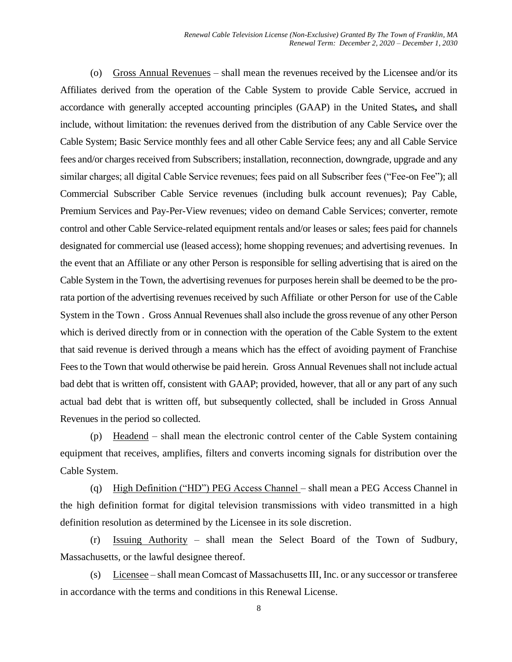(o) Gross Annual Revenues – shall mean the revenues received by the Licensee and/or its Affiliates derived from the operation of the Cable System to provide Cable Service, accrued in accordance with generally accepted accounting principles (GAAP) in the United States**,** and shall include, without limitation: the revenues derived from the distribution of any Cable Service over the Cable System; Basic Service monthly fees and all other Cable Service fees; any and all Cable Service fees and/or charges received from Subscribers; installation, reconnection, downgrade, upgrade and any similar charges; all digital Cable Service revenues; fees paid on all Subscriber fees ("Fee-on Fee"); all Commercial Subscriber Cable Service revenues (including bulk account revenues); Pay Cable, Premium Services and Pay-Per-View revenues; video on demand Cable Services; converter, remote control and other Cable Service-related equipment rentals and/or leases or sales; fees paid for channels designated for commercial use (leased access); home shopping revenues; and advertising revenues. In the event that an Affiliate or any other Person is responsible for selling advertising that is aired on the Cable System in the Town, the advertising revenues for purposes herein shall be deemed to be the prorata portion of the advertising revenues received by such Affiliate or other Person for use of the Cable System in the Town . Gross Annual Revenues shall also include the gross revenue of any other Person which is derived directly from or in connection with the operation of the Cable System to the extent that said revenue is derived through a means which has the effect of avoiding payment of Franchise Fees to the Town that would otherwise be paid herein. Gross Annual Revenues shall not include actual bad debt that is written off, consistent with GAAP; provided, however, that all or any part of any such actual bad debt that is written off, but subsequently collected, shall be included in Gross Annual Revenues in the period so collected.

(p) Headend – shall mean the electronic control center of the Cable System containing equipment that receives, amplifies, filters and converts incoming signals for distribution over the Cable System.

(q) High Definition ("HD") PEG Access Channel - shall mean a PEG Access Channel in the high definition format for digital television transmissions with video transmitted in a high definition resolution as determined by the Licensee in its sole discretion.

(r) Issuing Authority – shall mean the Select Board of the Town of Sudbury, Massachusetts, or the lawful designee thereof.

(s) Licensee – shall mean Comcast of Massachusetts III, Inc. or any successor or transferee in accordance with the terms and conditions in this Renewal License.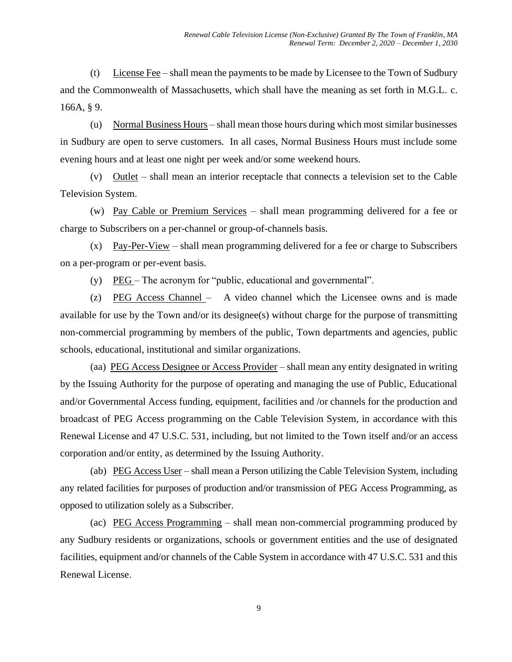(t) License Fee – shall mean the payments to be made by Licensee to the Town of Sudbury and the Commonwealth of Massachusetts, which shall have the meaning as set forth in M.G.L. c. 166A, § 9.

(u) Normal Business Hours – shall mean those hours during which most similar businesses in Sudbury are open to serve customers. In all cases, Normal Business Hours must include some evening hours and at least one night per week and/or some weekend hours.

(v) Outlet – shall mean an interior receptacle that connects a television set to the Cable Television System.

(w) Pay Cable or Premium Services – shall mean programming delivered for a fee or charge to Subscribers on a per-channel or group-of-channels basis.

(x) Pay-Per-View – shall mean programming delivered for a fee or charge to Subscribers on a per-program or per-event basis.

(y) PEG – The acronym for "public, educational and governmental".

(z) PEG Access Channel – A video channel which the Licensee owns and is made available for use by the Town and/or its designee(s) without charge for the purpose of transmitting non-commercial programming by members of the public, Town departments and agencies, public schools, educational, institutional and similar organizations.

(aa) PEG Access Designee or Access Provider – shall mean any entity designated in writing by the Issuing Authority for the purpose of operating and managing the use of Public, Educational and/or Governmental Access funding, equipment, facilities and /or channels for the production and broadcast of PEG Access programming on the Cable Television System, in accordance with this Renewal License and 47 U.S.C. 531, including, but not limited to the Town itself and/or an access corporation and/or entity, as determined by the Issuing Authority.

(ab) PEG Access User – shall mean a Person utilizing the Cable Television System, including any related facilities for purposes of production and/or transmission of PEG Access Programming, as opposed to utilization solely as a Subscriber.

(ac) PEG Access Programming – shall mean non-commercial programming produced by any Sudbury residents or organizations, schools or government entities and the use of designated facilities, equipment and/or channels of the Cable System in accordance with 47 U.S.C. 531 and this Renewal License.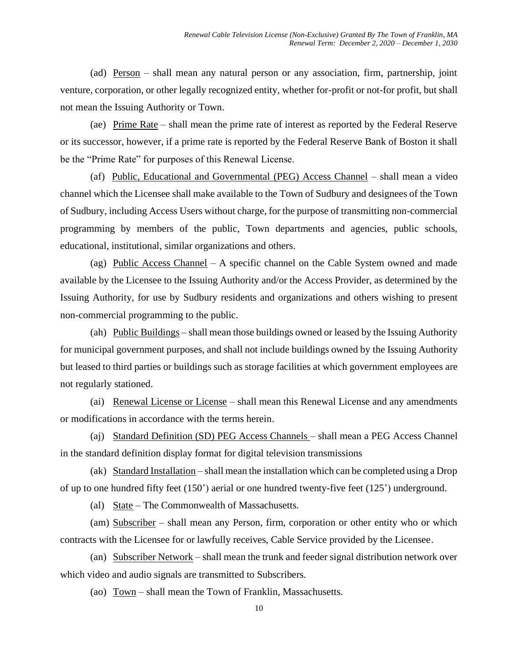(ad) Person – shall mean any natural person or any association, firm, partnership, joint venture, corporation, or other legally recognized entity, whether for-profit or not-for profit, but shall not mean the Issuing Authority or Town.

(ae) Prime Rate – shall mean the prime rate of interest as reported by the Federal Reserve or its successor, however, if a prime rate is reported by the Federal Reserve Bank of Boston it shall be the "Prime Rate" for purposes of this Renewal License.

(af) Public, Educational and Governmental (PEG) Access Channel – shall mean a video channel which the Licensee shall make available to the Town of Sudbury and designees of the Town of Sudbury, including Access Users without charge, for the purpose of transmitting non-commercial programming by members of the public, Town departments and agencies, public schools, educational, institutional, similar organizations and others.

(ag) Public Access Channel – A specific channel on the Cable System owned and made available by the Licensee to the Issuing Authority and/or the Access Provider, as determined by the Issuing Authority, for use by Sudbury residents and organizations and others wishing to present non-commercial programming to the public.

(ah) Public Buildings – shall mean those buildings owned or leased by the Issuing Authority for municipal government purposes, and shall not include buildings owned by the Issuing Authority but leased to third parties or buildings such as storage facilities at which government employees are not regularly stationed.

(ai) Renewal License or License – shall mean this Renewal License and any amendments or modifications in accordance with the terms herein.

(aj) Standard Definition (SD) PEG Access Channels – shall mean a PEG Access Channel in the standard definition display format for digital television transmissions

(ak) Standard Installation – shall mean the installation which can be completed using a Drop of up to one hundred fifty feet (150') aerial or one hundred twenty-five feet (125') underground.

(al) State – The Commonwealth of Massachusetts.

(am) Subscriber – shall mean any Person, firm, corporation or other entity who or which contracts with the Licensee for or lawfully receives, Cable Service provided by the Licensee.

(an) Subscriber Network – shall mean the trunk and feeder signal distribution network over which video and audio signals are transmitted to Subscribers.

(ao)  $Town - shall mean the Town of Franklin, Massachusetts.$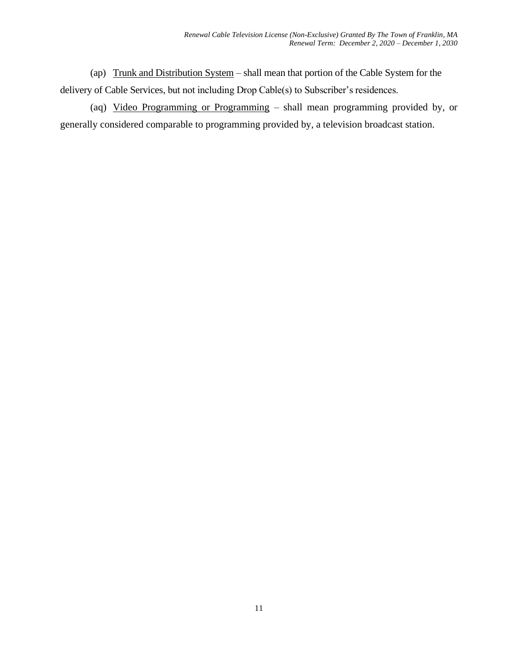(ap) Trunk and Distribution System – shall mean that portion of the Cable System for the delivery of Cable Services, but not including Drop Cable(s) to Subscriber's residences.

(aq) Video Programming or Programming – shall mean programming provided by, or generally considered comparable to programming provided by, a television broadcast station.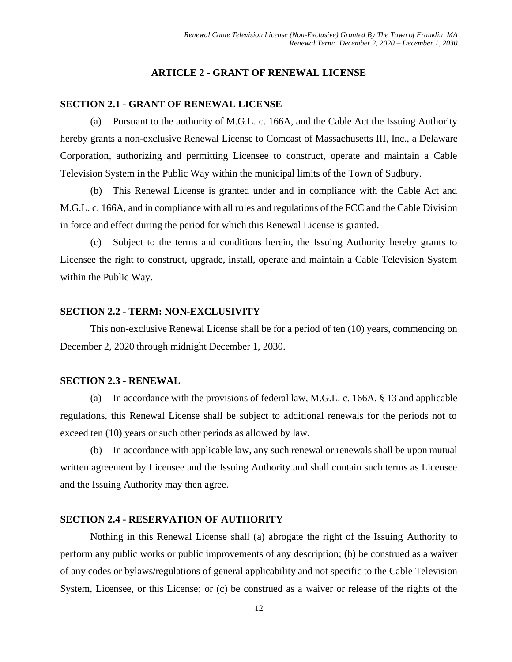#### **ARTICLE 2 - GRANT OF RENEWAL LICENSE**

#### **SECTION 2.1 - GRANT OF RENEWAL LICENSE**

(a) Pursuant to the authority of M.G.L. c. 166A, and the Cable Act the Issuing Authority hereby grants a non-exclusive Renewal License to Comcast of Massachusetts III, Inc., a Delaware Corporation, authorizing and permitting Licensee to construct, operate and maintain a Cable Television System in the Public Way within the municipal limits of the Town of Sudbury.

(b) This Renewal License is granted under and in compliance with the Cable Act and M.G.L. c. 166A, and in compliance with all rules and regulations of the FCC and the Cable Division in force and effect during the period for which this Renewal License is granted.

(c) Subject to the terms and conditions herein, the Issuing Authority hereby grants to Licensee the right to construct, upgrade, install, operate and maintain a Cable Television System within the Public Way.

#### **SECTION 2.2 - TERM: NON-EXCLUSIVITY**

This non-exclusive Renewal License shall be for a period of ten (10) years, commencing on December 2, 2020 through midnight December 1, 2030.

## **SECTION 2.3 - RENEWAL**

(a) In accordance with the provisions of federal law, M.G.L. c. 166A, § 13 and applicable regulations, this Renewal License shall be subject to additional renewals for the periods not to exceed ten (10) years or such other periods as allowed by law.

(b) In accordance with applicable law, any such renewal or renewals shall be upon mutual written agreement by Licensee and the Issuing Authority and shall contain such terms as Licensee and the Issuing Authority may then agree.

## **SECTION 2.4 - RESERVATION OF AUTHORITY**

Nothing in this Renewal License shall (a) abrogate the right of the Issuing Authority to perform any public works or public improvements of any description; (b) be construed as a waiver of any codes or bylaws/regulations of general applicability and not specific to the Cable Television System, Licensee, or this License; or (c) be construed as a waiver or release of the rights of the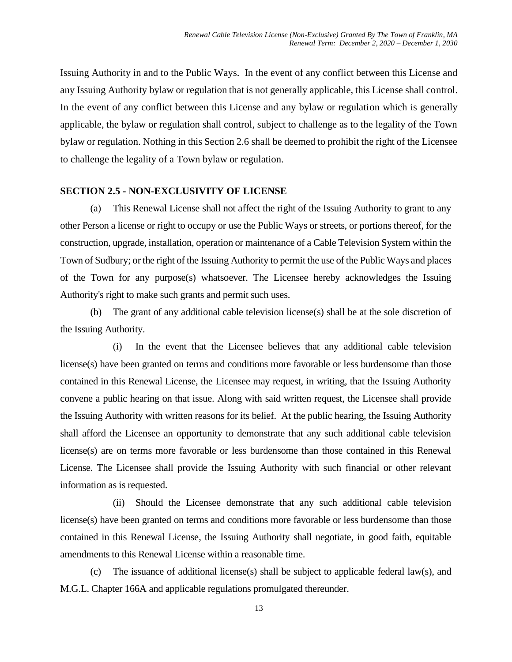Issuing Authority in and to the Public Ways. In the event of any conflict between this License and any Issuing Authority bylaw or regulation that is not generally applicable, this License shall control. In the event of any conflict between this License and any bylaw or regulation which is generally applicable, the bylaw or regulation shall control, subject to challenge as to the legality of the Town bylaw or regulation. Nothing in this Section 2.6 shall be deemed to prohibit the right of the Licensee to challenge the legality of a Town bylaw or regulation.

#### **SECTION 2.5 - NON-EXCLUSIVITY OF LICENSE**

(a) This Renewal License shall not affect the right of the Issuing Authority to grant to any other Person a license or right to occupy or use the Public Ways or streets, or portions thereof, for the construction, upgrade, installation, operation or maintenance of a Cable Television System within the Town of Sudbury; or the right of the Issuing Authority to permit the use of the Public Ways and places of the Town for any purpose(s) whatsoever. The Licensee hereby acknowledges the Issuing Authority's right to make such grants and permit such uses.

(b) The grant of any additional cable television license(s) shall be at the sole discretion of the Issuing Authority.

(i) In the event that the Licensee believes that any additional cable television license(s) have been granted on terms and conditions more favorable or less burdensome than those contained in this Renewal License, the Licensee may request, in writing, that the Issuing Authority convene a public hearing on that issue. Along with said written request, the Licensee shall provide the Issuing Authority with written reasons for its belief. At the public hearing, the Issuing Authority shall afford the Licensee an opportunity to demonstrate that any such additional cable television license(s) are on terms more favorable or less burdensome than those contained in this Renewal License. The Licensee shall provide the Issuing Authority with such financial or other relevant information as is requested.

(ii) Should the Licensee demonstrate that any such additional cable television license(s) have been granted on terms and conditions more favorable or less burdensome than those contained in this Renewal License, the Issuing Authority shall negotiate, in good faith, equitable amendments to this Renewal License within a reasonable time.

(c) The issuance of additional license(s) shall be subject to applicable federal law(s), and M.G.L. Chapter 166A and applicable regulations promulgated thereunder.

13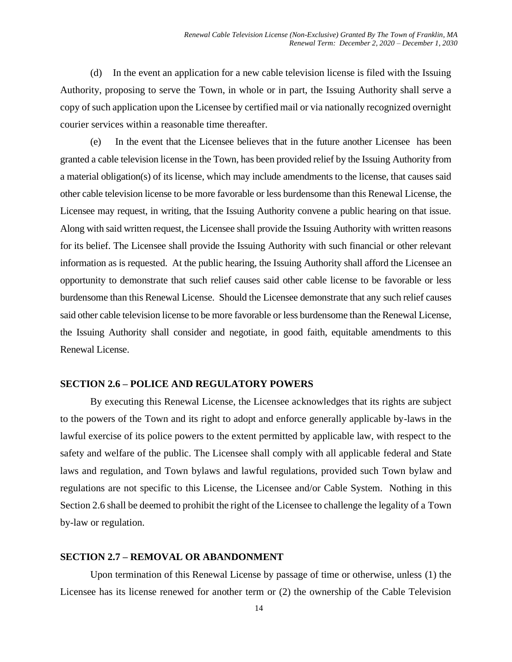(d) In the event an application for a new cable television license is filed with the Issuing Authority, proposing to serve the Town, in whole or in part, the Issuing Authority shall serve a copy of such application upon the Licensee by certified mail or via nationally recognized overnight courier services within a reasonable time thereafter.

(e) In the event that the Licensee believes that in the future another Licensee has been granted a cable television license in the Town, has been provided relief by the Issuing Authority from a material obligation(s) of its license, which may include amendments to the license, that causes said other cable television license to be more favorable or less burdensome than this Renewal License, the Licensee may request, in writing, that the Issuing Authority convene a public hearing on that issue. Along with said written request, the Licensee shall provide the Issuing Authority with written reasons for its belief. The Licensee shall provide the Issuing Authority with such financial or other relevant information as is requested. At the public hearing, the Issuing Authority shall afford the Licensee an opportunity to demonstrate that such relief causes said other cable license to be favorable or less burdensome than this Renewal License. Should the Licensee demonstrate that any such relief causes said other cable television license to be more favorable or less burdensome than the Renewal License, the Issuing Authority shall consider and negotiate, in good faith, equitable amendments to this Renewal License.

#### **SECTION 2.6 – POLICE AND REGULATORY POWERS**

By executing this Renewal License, the Licensee acknowledges that its rights are subject to the powers of the Town and its right to adopt and enforce generally applicable by-laws in the lawful exercise of its police powers to the extent permitted by applicable law, with respect to the safety and welfare of the public. The Licensee shall comply with all applicable federal and State laws and regulation, and Town bylaws and lawful regulations, provided such Town bylaw and regulations are not specific to this License, the Licensee and/or Cable System. Nothing in this Section 2.6 shall be deemed to prohibit the right of the Licensee to challenge the legality of a Town by-law or regulation.

#### **SECTION 2.7 – REMOVAL OR ABANDONMENT**

Upon termination of this Renewal License by passage of time or otherwise, unless (1) the Licensee has its license renewed for another term or (2) the ownership of the Cable Television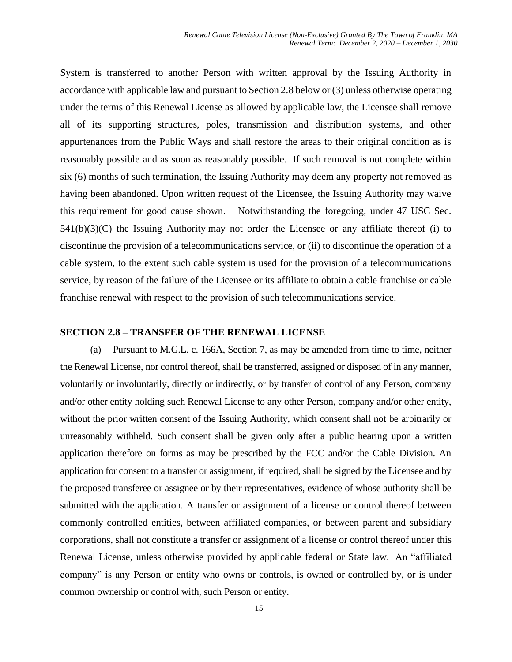System is transferred to another Person with written approval by the Issuing Authority in accordance with applicable law and pursuant to Section 2.8 below or (3) unless otherwise operating under the terms of this Renewal License as allowed by applicable law, the Licensee shall remove all of its supporting structures, poles, transmission and distribution systems, and other appurtenances from the Public Ways and shall restore the areas to their original condition as is reasonably possible and as soon as reasonably possible. If such removal is not complete within six (6) months of such termination, the Issuing Authority may deem any property not removed as having been abandoned. Upon written request of the Licensee, the Issuing Authority may waive this requirement for good cause shown. Notwithstanding the foregoing, under 47 USC Sec.  $541(b)(3)(C)$  the Issuing Authority may not order the Licensee or any affiliate thereof (i) to discontinue the provision of a telecommunications service, or (ii) to discontinue the operation of a cable system, to the extent such cable system is used for the provision of a telecommunications service, by reason of the failure of the Licensee or its affiliate to obtain a cable franchise or cable franchise renewal with respect to the provision of such telecommunications service.

#### **SECTION 2.8 – TRANSFER OF THE RENEWAL LICENSE**

(a) Pursuant to M.G.L. c. 166A, Section 7, as may be amended from time to time, neither the Renewal License, nor control thereof, shall be transferred, assigned or disposed of in any manner, voluntarily or involuntarily, directly or indirectly, or by transfer of control of any Person, company and/or other entity holding such Renewal License to any other Person, company and/or other entity, without the prior written consent of the Issuing Authority, which consent shall not be arbitrarily or unreasonably withheld. Such consent shall be given only after a public hearing upon a written application therefore on forms as may be prescribed by the FCC and/or the Cable Division. An application for consent to a transfer or assignment, if required, shall be signed by the Licensee and by the proposed transferee or assignee or by their representatives, evidence of whose authority shall be submitted with the application. A transfer or assignment of a license or control thereof between commonly controlled entities, between affiliated companies, or between parent and subsidiary corporations, shall not constitute a transfer or assignment of a license or control thereof under this Renewal License, unless otherwise provided by applicable federal or State law. An "affiliated company" is any Person or entity who owns or controls, is owned or controlled by, or is under common ownership or control with, such Person or entity.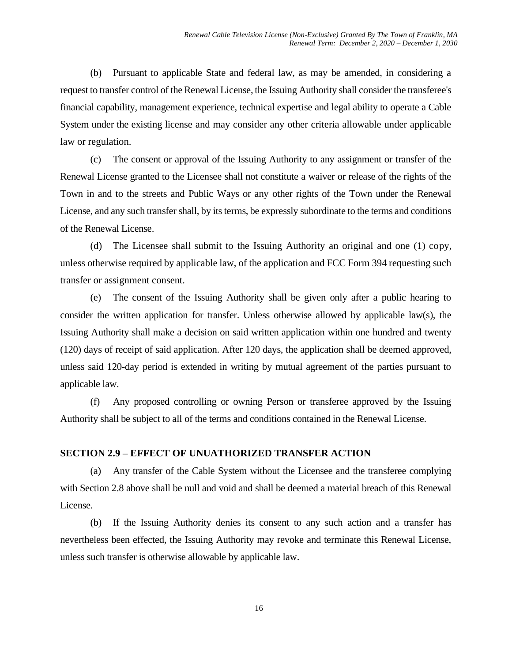(b) Pursuant to applicable State and federal law, as may be amended, in considering a request to transfer control of the Renewal License, the Issuing Authority shall consider the transferee's financial capability, management experience, technical expertise and legal ability to operate a Cable System under the existing license and may consider any other criteria allowable under applicable law or regulation.

(c) The consent or approval of the Issuing Authority to any assignment or transfer of the Renewal License granted to the Licensee shall not constitute a waiver or release of the rights of the Town in and to the streets and Public Ways or any other rights of the Town under the Renewal License, and any such transfer shall, by its terms, be expressly subordinate to the terms and conditions of the Renewal License.

(d) The Licensee shall submit to the Issuing Authority an original and one (1) copy, unless otherwise required by applicable law, of the application and FCC Form 394 requesting such transfer or assignment consent.

(e) The consent of the Issuing Authority shall be given only after a public hearing to consider the written application for transfer. Unless otherwise allowed by applicable law(s), the Issuing Authority shall make a decision on said written application within one hundred and twenty (120) days of receipt of said application. After 120 days, the application shall be deemed approved, unless said 120-day period is extended in writing by mutual agreement of the parties pursuant to applicable law.

(f) Any proposed controlling or owning Person or transferee approved by the Issuing Authority shall be subject to all of the terms and conditions contained in the Renewal License.

### **SECTION 2.9 – EFFECT OF UNUATHORIZED TRANSFER ACTION**

(a) Any transfer of the Cable System without the Licensee and the transferee complying with Section 2.8 above shall be null and void and shall be deemed a material breach of this Renewal License.

(b) If the Issuing Authority denies its consent to any such action and a transfer has nevertheless been effected, the Issuing Authority may revoke and terminate this Renewal License, unless such transfer is otherwise allowable by applicable law.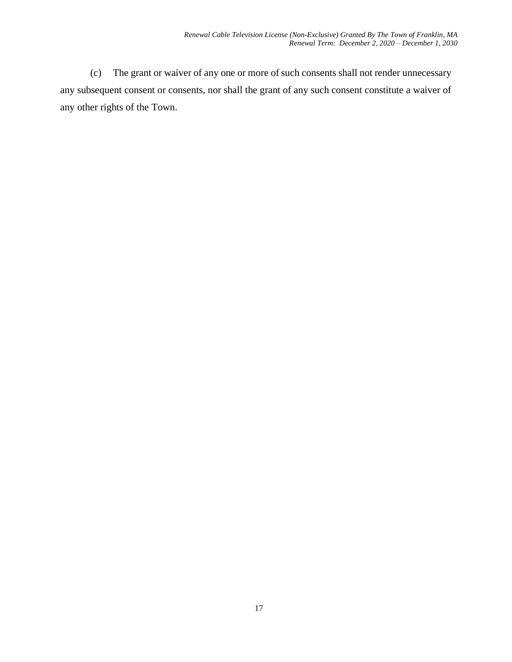(c) The grant or waiver of any one or more of such consents shall not render unnecessary any subsequent consent or consents, nor shall the grant of any such consent constitute a waiver of any other rights of the Town.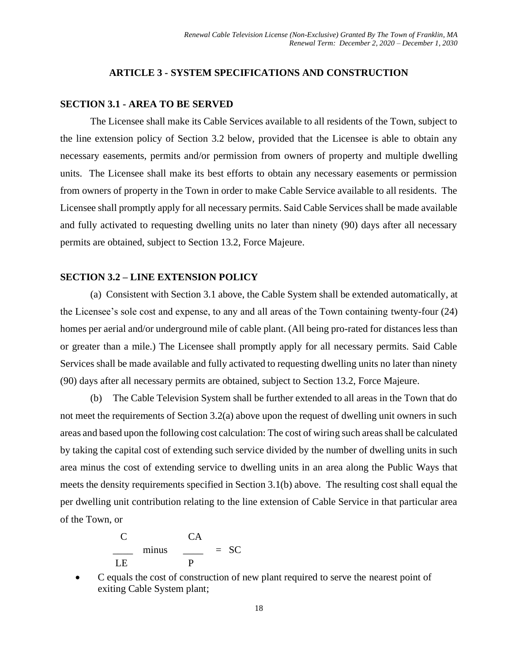#### **ARTICLE 3 - SYSTEM SPECIFICATIONS AND CONSTRUCTION**

#### **SECTION 3.1 - AREA TO BE SERVED**

The Licensee shall make its Cable Services available to all residents of the Town, subject to the line extension policy of Section 3.2 below, provided that the Licensee is able to obtain any necessary easements, permits and/or permission from owners of property and multiple dwelling units. The Licensee shall make its best efforts to obtain any necessary easements or permission from owners of property in the Town in order to make Cable Service available to all residents. The Licensee shall promptly apply for all necessary permits. Said Cable Services shall be made available and fully activated to requesting dwelling units no later than ninety (90) days after all necessary permits are obtained, subject to Section 13.2, Force Majeure.

#### **SECTION 3.2 – LINE EXTENSION POLICY**

(a) Consistent with Section 3.1 above, the Cable System shall be extended automatically, at the Licensee's sole cost and expense, to any and all areas of the Town containing twenty-four (24) homes per aerial and/or underground mile of cable plant. (All being pro-rated for distances less than or greater than a mile.) The Licensee shall promptly apply for all necessary permits. Said Cable Services shall be made available and fully activated to requesting dwelling units no later than ninety (90) days after all necessary permits are obtained, subject to Section 13.2, Force Majeure.

(b) The Cable Television System shall be further extended to all areas in the Town that do not meet the requirements of Section 3.2(a) above upon the request of dwelling unit owners in such areas and based upon the following cost calculation: The cost of wiring such areas shall be calculated by taking the capital cost of extending such service divided by the number of dwelling units in such area minus the cost of extending service to dwelling units in an area along the Public Ways that meets the density requirements specified in Section 3.1(b) above. The resulting cost shall equal the per dwelling unit contribution relating to the line extension of Cable Service in that particular area of the Town, or

$$
\frac{C}{LE} \quad \text{minus} \quad \frac{CA}{P} \quad = \quad SC
$$

• C equals the cost of construction of new plant required to serve the nearest point of exiting Cable System plant;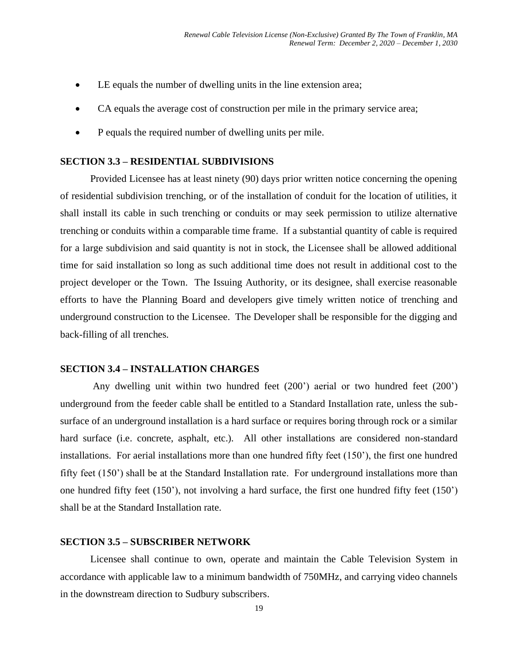- LE equals the number of dwelling units in the line extension area;
- CA equals the average cost of construction per mile in the primary service area;
- P equals the required number of dwelling units per mile.

#### **SECTION 3.3 – RESIDENTIAL SUBDIVISIONS**

Provided Licensee has at least ninety (90) days prior written notice concerning the opening of residential subdivision trenching, or of the installation of conduit for the location of utilities, it shall install its cable in such trenching or conduits or may seek permission to utilize alternative trenching or conduits within a comparable time frame. If a substantial quantity of cable is required for a large subdivision and said quantity is not in stock, the Licensee shall be allowed additional time for said installation so long as such additional time does not result in additional cost to the project developer or the Town. The Issuing Authority, or its designee, shall exercise reasonable efforts to have the Planning Board and developers give timely written notice of trenching and underground construction to the Licensee. The Developer shall be responsible for the digging and back-filling of all trenches.

#### **SECTION 3.4 – INSTALLATION CHARGES**

Any dwelling unit within two hundred feet (200') aerial or two hundred feet (200') underground from the feeder cable shall be entitled to a Standard Installation rate, unless the subsurface of an underground installation is a hard surface or requires boring through rock or a similar hard surface (i.e. concrete, asphalt, etc.). All other installations are considered non-standard installations. For aerial installations more than one hundred fifty feet (150'), the first one hundred fifty feet (150') shall be at the Standard Installation rate. For underground installations more than one hundred fifty feet (150'), not involving a hard surface, the first one hundred fifty feet (150') shall be at the Standard Installation rate.

#### **SECTION 3.5 – SUBSCRIBER NETWORK**

Licensee shall continue to own, operate and maintain the Cable Television System in accordance with applicable law to a minimum bandwidth of 750MHz, and carrying video channels in the downstream direction to Sudbury subscribers.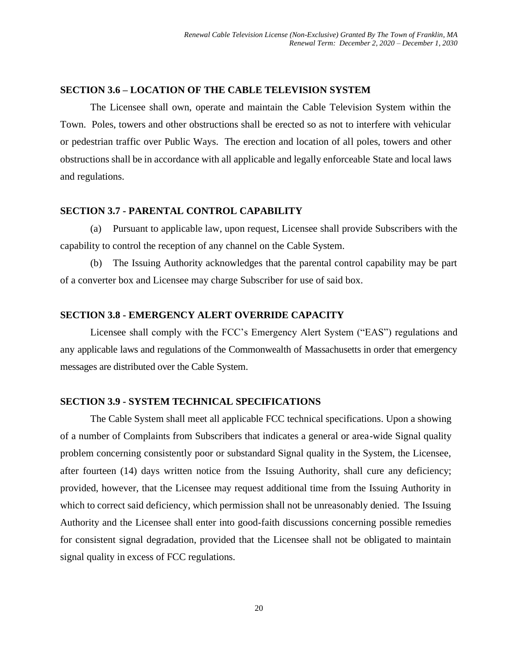## **SECTION 3.6 – LOCATION OF THE CABLE TELEVISION SYSTEM**

The Licensee shall own, operate and maintain the Cable Television System within the Town. Poles, towers and other obstructions shall be erected so as not to interfere with vehicular or pedestrian traffic over Public Ways. The erection and location of all poles, towers and other obstructions shall be in accordance with all applicable and legally enforceable State and local laws and regulations.

#### **SECTION 3.7 - PARENTAL CONTROL CAPABILITY**

(a) Pursuant to applicable law, upon request, Licensee shall provide Subscribers with the capability to control the reception of any channel on the Cable System.

(b) The Issuing Authority acknowledges that the parental control capability may be part of a converter box and Licensee may charge Subscriber for use of said box.

## **SECTION 3.8 - EMERGENCY ALERT OVERRIDE CAPACITY**

Licensee shall comply with the FCC's Emergency Alert System ("EAS") regulations and any applicable laws and regulations of the Commonwealth of Massachusetts in order that emergency messages are distributed over the Cable System.

## **SECTION 3.9 - SYSTEM TECHNICAL SPECIFICATIONS**

The Cable System shall meet all applicable FCC technical specifications. Upon a showing of a number of Complaints from Subscribers that indicates a general or area-wide Signal quality problem concerning consistently poor or substandard Signal quality in the System, the Licensee, after fourteen (14) days written notice from the Issuing Authority, shall cure any deficiency; provided, however, that the Licensee may request additional time from the Issuing Authority in which to correct said deficiency, which permission shall not be unreasonably denied. The Issuing Authority and the Licensee shall enter into good-faith discussions concerning possible remedies for consistent signal degradation, provided that the Licensee shall not be obligated to maintain signal quality in excess of FCC regulations.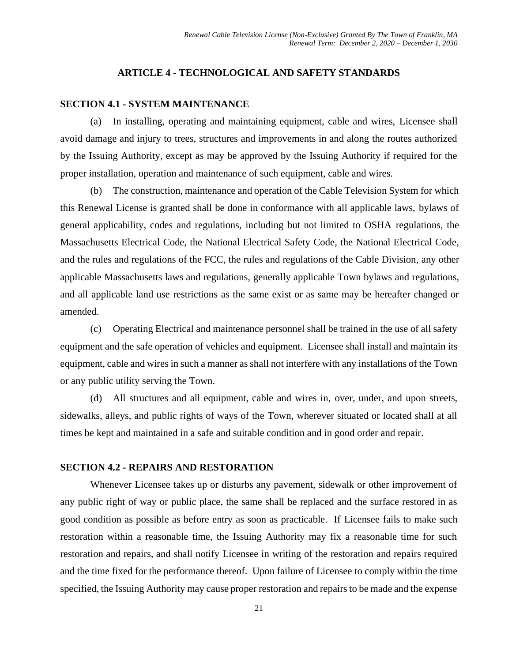#### **ARTICLE 4 - TECHNOLOGICAL AND SAFETY STANDARDS**

#### **SECTION 4.1 - SYSTEM MAINTENANCE**

(a) In installing, operating and maintaining equipment, cable and wires, Licensee shall avoid damage and injury to trees, structures and improvements in and along the routes authorized by the Issuing Authority, except as may be approved by the Issuing Authority if required for the proper installation, operation and maintenance of such equipment, cable and wires.

(b) The construction, maintenance and operation of the Cable Television System for which this Renewal License is granted shall be done in conformance with all applicable laws, bylaws of general applicability, codes and regulations, including but not limited to OSHA regulations, the Massachusetts Electrical Code, the National Electrical Safety Code, the National Electrical Code, and the rules and regulations of the FCC, the rules and regulations of the Cable Division, any other applicable Massachusetts laws and regulations, generally applicable Town bylaws and regulations, and all applicable land use restrictions as the same exist or as same may be hereafter changed or amended.

(c) Operating Electrical and maintenance personnel shall be trained in the use of all safety equipment and the safe operation of vehicles and equipment. Licensee shall install and maintain its equipment, cable and wires in such a manner as shall not interfere with any installations of the Town or any public utility serving the Town.

(d) All structures and all equipment, cable and wires in, over, under, and upon streets, sidewalks, alleys, and public rights of ways of the Town, wherever situated or located shall at all times be kept and maintained in a safe and suitable condition and in good order and repair.

### **SECTION 4.2 - REPAIRS AND RESTORATION**

Whenever Licensee takes up or disturbs any pavement, sidewalk or other improvement of any public right of way or public place, the same shall be replaced and the surface restored in as good condition as possible as before entry as soon as practicable. If Licensee fails to make such restoration within a reasonable time, the Issuing Authority may fix a reasonable time for such restoration and repairs, and shall notify Licensee in writing of the restoration and repairs required and the time fixed for the performance thereof. Upon failure of Licensee to comply within the time specified, the Issuing Authority may cause proper restoration and repairs to be made and the expense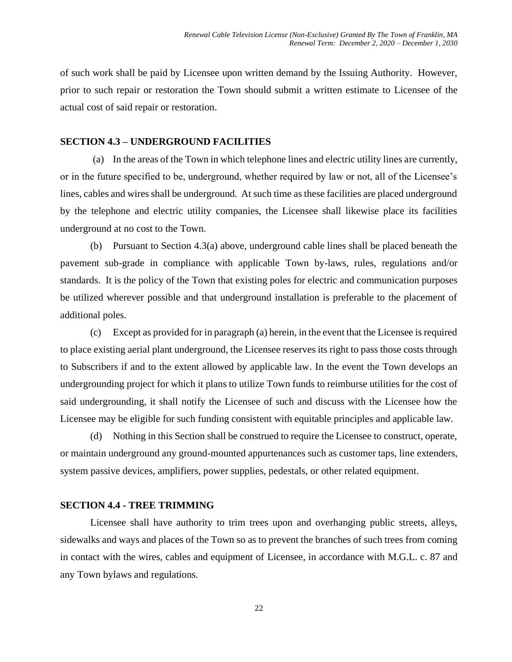of such work shall be paid by Licensee upon written demand by the Issuing Authority. However, prior to such repair or restoration the Town should submit a written estimate to Licensee of the actual cost of said repair or restoration.

### **SECTION 4.3 – UNDERGROUND FACILITIES**

(a) In the areas of the Town in which telephone lines and electric utility lines are currently, or in the future specified to be, underground, whether required by law or not, all of the Licensee's lines, cables and wires shall be underground. At such time as these facilities are placed underground by the telephone and electric utility companies, the Licensee shall likewise place its facilities underground at no cost to the Town.

(b) Pursuant to Section 4.3(a) above, underground cable lines shall be placed beneath the pavement sub-grade in compliance with applicable Town by-laws, rules, regulations and/or standards. It is the policy of the Town that existing poles for electric and communication purposes be utilized wherever possible and that underground installation is preferable to the placement of additional poles.

(c) Except as provided for in paragraph (a) herein, in the event that the Licensee is required to place existing aerial plant underground, the Licensee reserves its right to pass those costs through to Subscribers if and to the extent allowed by applicable law. In the event the Town develops an undergrounding project for which it plans to utilize Town funds to reimburse utilities for the cost of said undergrounding, it shall notify the Licensee of such and discuss with the Licensee how the Licensee may be eligible for such funding consistent with equitable principles and applicable law.

(d) Nothing in this Section shall be construed to require the Licensee to construct, operate, or maintain underground any ground-mounted appurtenances such as customer taps, line extenders, system passive devices, amplifiers, power supplies, pedestals, or other related equipment.

#### **SECTION 4.4 - TREE TRIMMING**

Licensee shall have authority to trim trees upon and overhanging public streets, alleys, sidewalks and ways and places of the Town so as to prevent the branches of such trees from coming in contact with the wires, cables and equipment of Licensee, in accordance with M.G.L. c. 87 and any Town bylaws and regulations.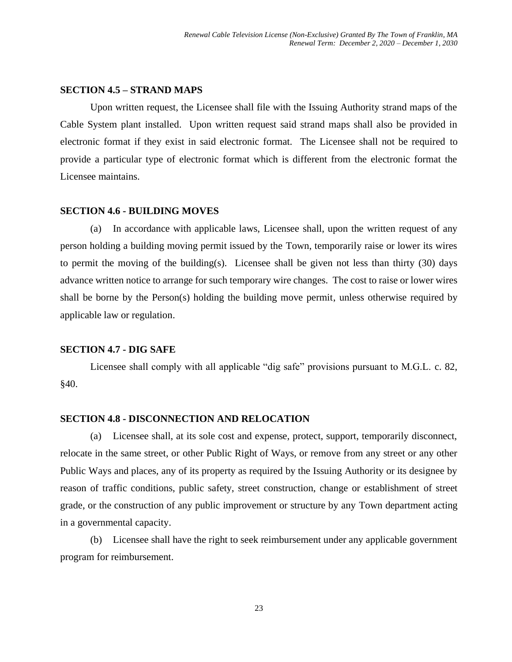#### **SECTION 4.5 – STRAND MAPS**

Upon written request, the Licensee shall file with the Issuing Authority strand maps of the Cable System plant installed. Upon written request said strand maps shall also be provided in electronic format if they exist in said electronic format. The Licensee shall not be required to provide a particular type of electronic format which is different from the electronic format the Licensee maintains.

## **SECTION 4.6 - BUILDING MOVES**

(a) In accordance with applicable laws, Licensee shall, upon the written request of any person holding a building moving permit issued by the Town, temporarily raise or lower its wires to permit the moving of the building(s). Licensee shall be given not less than thirty (30) days advance written notice to arrange for such temporary wire changes. The cost to raise or lower wires shall be borne by the Person(s) holding the building move permit, unless otherwise required by applicable law or regulation.

### **SECTION 4.7 - DIG SAFE**

Licensee shall comply with all applicable "dig safe" provisions pursuant to M.G.L. c. 82, §40.

#### **SECTION 4.8 - DISCONNECTION AND RELOCATION**

(a) Licensee shall, at its sole cost and expense, protect, support, temporarily disconnect, relocate in the same street, or other Public Right of Ways, or remove from any street or any other Public Ways and places, any of its property as required by the Issuing Authority or its designee by reason of traffic conditions, public safety, street construction, change or establishment of street grade, or the construction of any public improvement or structure by any Town department acting in a governmental capacity.

(b) Licensee shall have the right to seek reimbursement under any applicable government program for reimbursement.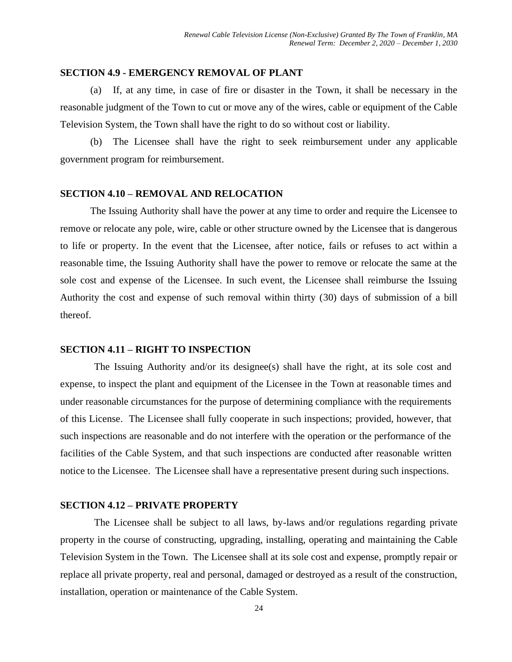#### **SECTION 4.9 - EMERGENCY REMOVAL OF PLANT**

(a) If, at any time, in case of fire or disaster in the Town, it shall be necessary in the reasonable judgment of the Town to cut or move any of the wires, cable or equipment of the Cable Television System, the Town shall have the right to do so without cost or liability.

(b) The Licensee shall have the right to seek reimbursement under any applicable government program for reimbursement.

## **SECTION 4.10 – REMOVAL AND RELOCATION**

The Issuing Authority shall have the power at any time to order and require the Licensee to remove or relocate any pole, wire, cable or other structure owned by the Licensee that is dangerous to life or property. In the event that the Licensee, after notice, fails or refuses to act within a reasonable time, the Issuing Authority shall have the power to remove or relocate the same at the sole cost and expense of the Licensee. In such event, the Licensee shall reimburse the Issuing Authority the cost and expense of such removal within thirty (30) days of submission of a bill thereof.

### **SECTION 4.11 – RIGHT TO INSPECTION**

The Issuing Authority and/or its designee(s) shall have the right, at its sole cost and expense, to inspect the plant and equipment of the Licensee in the Town at reasonable times and under reasonable circumstances for the purpose of determining compliance with the requirements of this License. The Licensee shall fully cooperate in such inspections; provided, however, that such inspections are reasonable and do not interfere with the operation or the performance of the facilities of the Cable System, and that such inspections are conducted after reasonable written notice to the Licensee. The Licensee shall have a representative present during such inspections.

#### **SECTION 4.12 – PRIVATE PROPERTY**

The Licensee shall be subject to all laws, by-laws and/or regulations regarding private property in the course of constructing, upgrading, installing, operating and maintaining the Cable Television System in the Town. The Licensee shall at its sole cost and expense, promptly repair or replace all private property, real and personal, damaged or destroyed as a result of the construction, installation, operation or maintenance of the Cable System.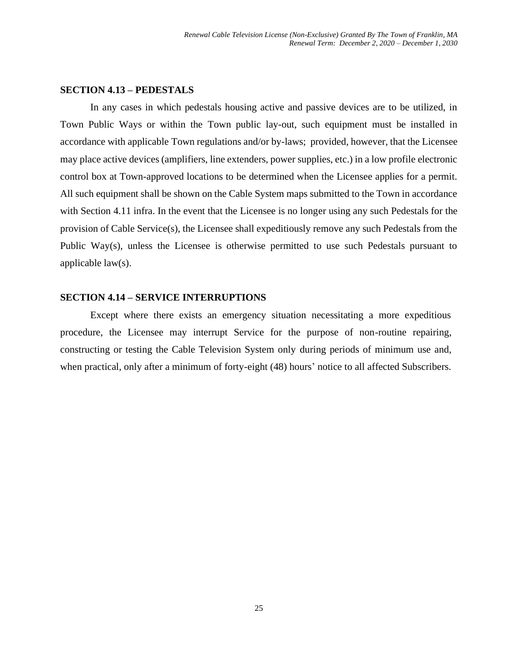#### **SECTION 4.13 – PEDESTALS**

In any cases in which pedestals housing active and passive devices are to be utilized, in Town Public Ways or within the Town public lay-out, such equipment must be installed in accordance with applicable Town regulations and/or by-laws; provided, however, that the Licensee may place active devices (amplifiers, line extenders, power supplies, etc.) in a low profile electronic control box at Town-approved locations to be determined when the Licensee applies for a permit. All such equipment shall be shown on the Cable System maps submitted to the Town in accordance with Section 4.11 infra. In the event that the Licensee is no longer using any such Pedestals for the provision of Cable Service(s), the Licensee shall expeditiously remove any such Pedestals from the Public Way(s), unless the Licensee is otherwise permitted to use such Pedestals pursuant to applicable law(s).

#### **SECTION 4.14 – SERVICE INTERRUPTIONS**

Except where there exists an emergency situation necessitating a more expeditious procedure, the Licensee may interrupt Service for the purpose of non-routine repairing, constructing or testing the Cable Television System only during periods of minimum use and, when practical, only after a minimum of forty-eight (48) hours' notice to all affected Subscribers.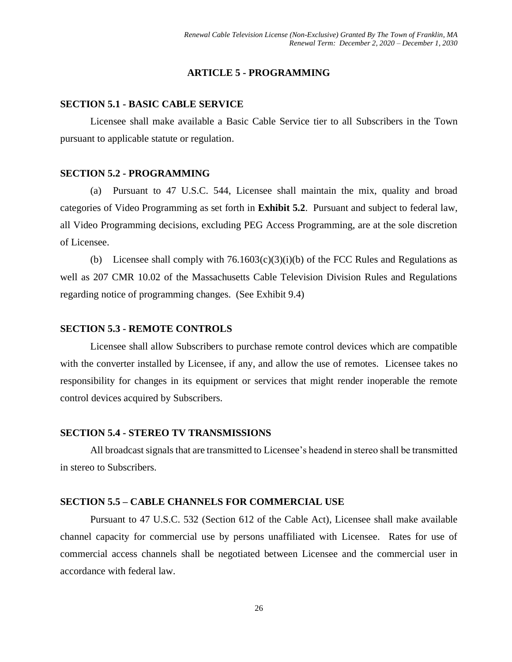#### **ARTICLE 5 - PROGRAMMING**

#### **SECTION 5.1 - BASIC CABLE SERVICE**

Licensee shall make available a Basic Cable Service tier to all Subscribers in the Town pursuant to applicable statute or regulation.

#### **SECTION 5.2 - PROGRAMMING**

(a) Pursuant to 47 U.S.C. 544, Licensee shall maintain the mix, quality and broad categories of Video Programming as set forth in **Exhibit 5.2**. Pursuant and subject to federal law, all Video Programming decisions, excluding PEG Access Programming, are at the sole discretion of Licensee.

(b) Licensee shall comply with  $76.1603(c)(3)(i)(b)$  of the FCC Rules and Regulations as well as 207 CMR 10.02 of the Massachusetts Cable Television Division Rules and Regulations regarding notice of programming changes. (See Exhibit 9.4)

#### **SECTION 5.3 - REMOTE CONTROLS**

Licensee shall allow Subscribers to purchase remote control devices which are compatible with the converter installed by Licensee, if any, and allow the use of remotes. Licensee takes no responsibility for changes in its equipment or services that might render inoperable the remote control devices acquired by Subscribers.

### **SECTION 5.4 - STEREO TV TRANSMISSIONS**

All broadcast signals that are transmitted to Licensee's headend in stereo shall be transmitted in stereo to Subscribers.

#### **SECTION 5.5 – CABLE CHANNELS FOR COMMERCIAL USE**

Pursuant to 47 U.S.C. 532 (Section 612 of the Cable Act), Licensee shall make available channel capacity for commercial use by persons unaffiliated with Licensee. Rates for use of commercial access channels shall be negotiated between Licensee and the commercial user in accordance with federal law.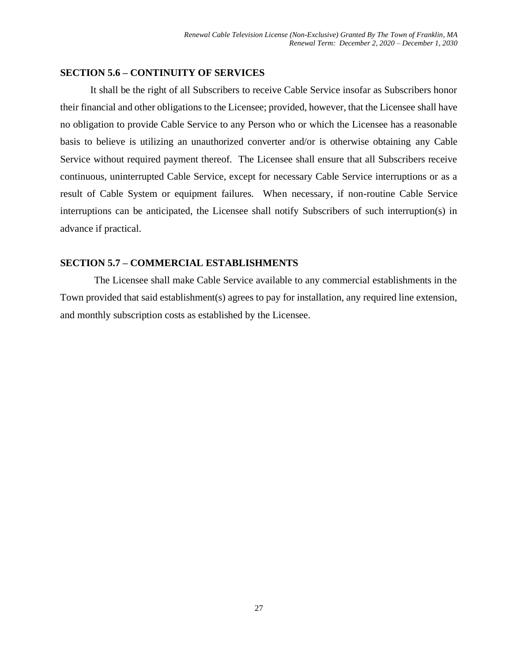### **SECTION 5.6 – CONTINUITY OF SERVICES**

It shall be the right of all Subscribers to receive Cable Service insofar as Subscribers honor their financial and other obligations to the Licensee; provided, however, that the Licensee shall have no obligation to provide Cable Service to any Person who or which the Licensee has a reasonable basis to believe is utilizing an unauthorized converter and/or is otherwise obtaining any Cable Service without required payment thereof. The Licensee shall ensure that all Subscribers receive continuous, uninterrupted Cable Service, except for necessary Cable Service interruptions or as a result of Cable System or equipment failures. When necessary, if non-routine Cable Service interruptions can be anticipated, the Licensee shall notify Subscribers of such interruption(s) in advance if practical.

## **SECTION 5.7 – COMMERCIAL ESTABLISHMENTS**

The Licensee shall make Cable Service available to any commercial establishments in the Town provided that said establishment(s) agrees to pay for installation, any required line extension, and monthly subscription costs as established by the Licensee.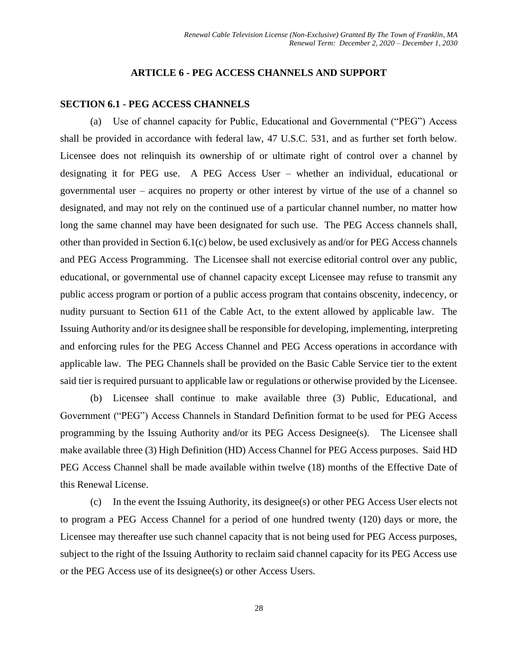#### **ARTICLE 6 - PEG ACCESS CHANNELS AND SUPPORT**

#### **SECTION 6.1 - PEG ACCESS CHANNELS**

(a) Use of channel capacity for Public, Educational and Governmental ("PEG") Access shall be provided in accordance with federal law, 47 U.S.C. 531, and as further set forth below. Licensee does not relinquish its ownership of or ultimate right of control over a channel by designating it for PEG use. A PEG Access User – whether an individual, educational or governmental user – acquires no property or other interest by virtue of the use of a channel so designated, and may not rely on the continued use of a particular channel number, no matter how long the same channel may have been designated for such use. The PEG Access channels shall, other than provided in Section 6.1(c) below, be used exclusively as and/or for PEG Access channels and PEG Access Programming. The Licensee shall not exercise editorial control over any public, educational, or governmental use of channel capacity except Licensee may refuse to transmit any public access program or portion of a public access program that contains obscenity, indecency, or nudity pursuant to Section 611 of the Cable Act, to the extent allowed by applicable law. The Issuing Authority and/or its designee shall be responsible for developing, implementing, interpreting and enforcing rules for the PEG Access Channel and PEG Access operations in accordance with applicable law. The PEG Channels shall be provided on the Basic Cable Service tier to the extent said tier is required pursuant to applicable law or regulations or otherwise provided by the Licensee.

(b) Licensee shall continue to make available three (3) Public, Educational, and Government ("PEG") Access Channels in Standard Definition format to be used for PEG Access programming by the Issuing Authority and/or its PEG Access Designee(s). The Licensee shall make available three (3) High Definition (HD) Access Channel for PEG Access purposes. Said HD PEG Access Channel shall be made available within twelve (18) months of the Effective Date of this Renewal License.

(c) In the event the Issuing Authority, its designee(s) or other PEG Access User elects not to program a PEG Access Channel for a period of one hundred twenty (120) days or more, the Licensee may thereafter use such channel capacity that is not being used for PEG Access purposes, subject to the right of the Issuing Authority to reclaim said channel capacity for its PEG Access use or the PEG Access use of its designee(s) or other Access Users.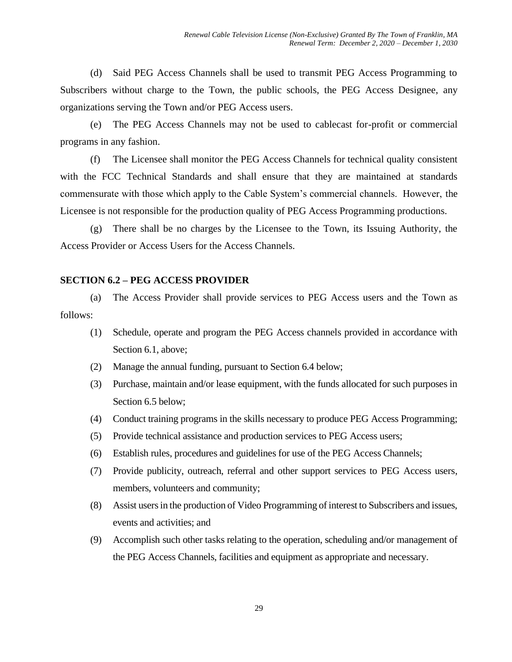(d) Said PEG Access Channels shall be used to transmit PEG Access Programming to Subscribers without charge to the Town, the public schools, the PEG Access Designee, any organizations serving the Town and/or PEG Access users.

(e) The PEG Access Channels may not be used to cablecast for-profit or commercial programs in any fashion.

(f) The Licensee shall monitor the PEG Access Channels for technical quality consistent with the FCC Technical Standards and shall ensure that they are maintained at standards commensurate with those which apply to the Cable System's commercial channels. However, the Licensee is not responsible for the production quality of PEG Access Programming productions.

(g) There shall be no charges by the Licensee to the Town, its Issuing Authority, the Access Provider or Access Users for the Access Channels.

#### **SECTION 6.2 – PEG ACCESS PROVIDER**

(a) The Access Provider shall provide services to PEG Access users and the Town as follows:

- (1) Schedule, operate and program the PEG Access channels provided in accordance with Section 6.1, above;
- (2) Manage the annual funding, pursuant to Section 6.4 below;
- (3) Purchase, maintain and/or lease equipment, with the funds allocated for such purposes in Section 6.5 below;
- (4) Conduct training programs in the skills necessary to produce PEG Access Programming;
- (5) Provide technical assistance and production services to PEG Access users;
- (6) Establish rules, procedures and guidelines for use of the PEG Access Channels;
- (7) Provide publicity, outreach, referral and other support services to PEG Access users, members, volunteers and community;
- (8) Assist users in the production of Video Programming of interest to Subscribers and issues, events and activities; and
- (9) Accomplish such other tasks relating to the operation, scheduling and/or management of the PEG Access Channels, facilities and equipment as appropriate and necessary.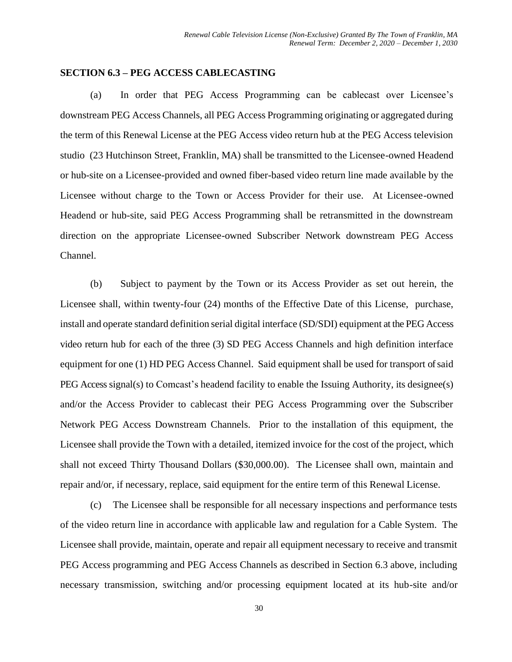#### **SECTION 6.3 – PEG ACCESS CABLECASTING**

(a) In order that PEG Access Programming can be cablecast over Licensee's downstream PEG Access Channels, all PEG Access Programming originating or aggregated during the term of this Renewal License at the PEG Access video return hub at the PEG Access television studio (23 Hutchinson Street, Franklin, MA) shall be transmitted to the Licensee-owned Headend or hub-site on a Licensee-provided and owned fiber-based video return line made available by the Licensee without charge to the Town or Access Provider for their use. At Licensee-owned Headend or hub-site, said PEG Access Programming shall be retransmitted in the downstream direction on the appropriate Licensee-owned Subscriber Network downstream PEG Access Channel.

(b) Subject to payment by the Town or its Access Provider as set out herein, the Licensee shall, within twenty-four (24) months of the Effective Date of this License, purchase, install and operate standard definition serial digital interface (SD/SDI) equipment at the PEG Access video return hub for each of the three (3) SD PEG Access Channels and high definition interface equipment for one (1) HD PEG Access Channel. Said equipment shall be used for transport of said PEG Access signal(s) to Comcast's headend facility to enable the Issuing Authority, its designee(s) and/or the Access Provider to cablecast their PEG Access Programming over the Subscriber Network PEG Access Downstream Channels. Prior to the installation of this equipment, the Licensee shall provide the Town with a detailed, itemized invoice for the cost of the project, which shall not exceed Thirty Thousand Dollars (\$30,000.00). The Licensee shall own, maintain and repair and/or, if necessary, replace, said equipment for the entire term of this Renewal License.

(c) The Licensee shall be responsible for all necessary inspections and performance tests of the video return line in accordance with applicable law and regulation for a Cable System. The Licensee shall provide, maintain, operate and repair all equipment necessary to receive and transmit PEG Access programming and PEG Access Channels as described in Section 6.3 above, including necessary transmission, switching and/or processing equipment located at its hub-site and/or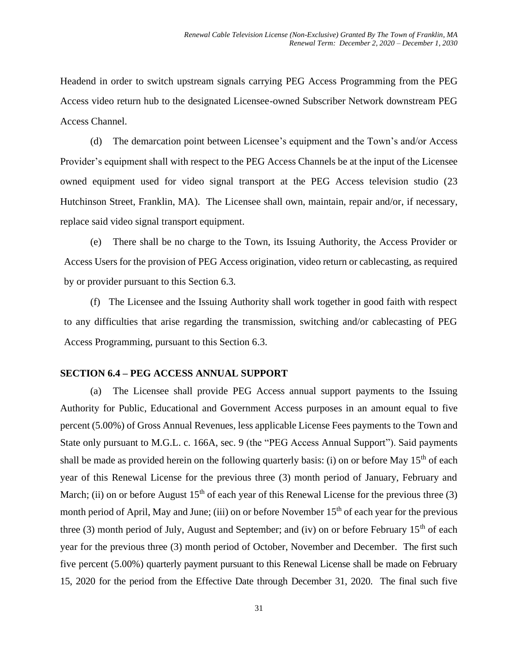Headend in order to switch upstream signals carrying PEG Access Programming from the PEG Access video return hub to the designated Licensee-owned Subscriber Network downstream PEG Access Channel.

(d) The demarcation point between Licensee's equipment and the Town's and/or Access Provider's equipment shall with respect to the PEG Access Channels be at the input of the Licensee owned equipment used for video signal transport at the PEG Access television studio (23 Hutchinson Street, Franklin, MA). The Licensee shall own, maintain, repair and/or, if necessary, replace said video signal transport equipment.

(e) There shall be no charge to the Town, its Issuing Authority, the Access Provider or Access Users for the provision of PEG Access origination, video return or cablecasting, as required by or provider pursuant to this Section 6.3.

(f) The Licensee and the Issuing Authority shall work together in good faith with respect to any difficulties that arise regarding the transmission, switching and/or cablecasting of PEG Access Programming, pursuant to this Section 6.3.

## **SECTION 6.4 – PEG ACCESS ANNUAL SUPPORT**

(a) The Licensee shall provide PEG Access annual support payments to the Issuing Authority for Public, Educational and Government Access purposes in an amount equal to five percent (5.00%) of Gross Annual Revenues, less applicable License Fees payments to the Town and State only pursuant to M.G.L. c. 166A, sec. 9 (the "PEG Access Annual Support"). Said payments shall be made as provided herein on the following quarterly basis: (i) on or before May  $15<sup>th</sup>$  of each year of this Renewal License for the previous three (3) month period of January, February and March; (ii) on or before August  $15<sup>th</sup>$  of each year of this Renewal License for the previous three (3) month period of April, May and June; (iii) on or before November  $15<sup>th</sup>$  of each year for the previous three (3) month period of July, August and September; and (iv) on or before February  $15<sup>th</sup>$  of each year for the previous three (3) month period of October, November and December. The first such five percent (5.00%) quarterly payment pursuant to this Renewal License shall be made on February 15, 2020 for the period from the Effective Date through December 31, 2020. The final such five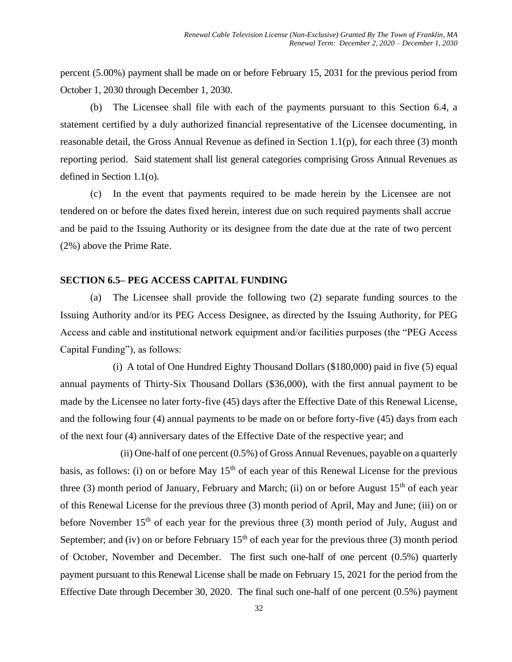percent (5.00%) payment shall be made on or before February 15, 2031 for the previous period from October 1, 2030 through December 1, 2030.

(b) The Licensee shall file with each of the payments pursuant to this Section 6.4, a statement certified by a duly authorized financial representative of the Licensee documenting, in reasonable detail, the Gross Annual Revenue as defined in Section 1.1(p), for each three (3) month reporting period. Said statement shall list general categories comprising Gross Annual Revenues as defined in Section 1.1(o).

(c) In the event that payments required to be made herein by the Licensee are not tendered on or before the dates fixed herein, interest due on such required payments shall accrue and be paid to the Issuing Authority or its designee from the date due at the rate of two percent (2%) above the Prime Rate.

#### **SECTION 6.5– PEG ACCESS CAPITAL FUNDING**

(a) The Licensee shall provide the following two (2) separate funding sources to the Issuing Authority and/or its PEG Access Designee, as directed by the Issuing Authority, for PEG Access and cable and institutional network equipment and/or facilities purposes (the "PEG Access Capital Funding"), as follows:

(i) A total of One Hundred Eighty Thousand Dollars (\$180,000) paid in five (5) equal annual payments of Thirty-Six Thousand Dollars (\$36,000), with the first annual payment to be made by the Licensee no later forty-five (45) days after the Effective Date of this Renewal License, and the following four (4) annual payments to be made on or before forty-five (45) days from each of the next four (4) anniversary dates of the Effective Date of the respective year; and

(ii) One-half of one percent (0.5%) of Gross Annual Revenues, payable on a quarterly basis, as follows: (i) on or before May  $15<sup>th</sup>$  of each year of this Renewal License for the previous three (3) month period of January, February and March; (ii) on or before August  $15<sup>th</sup>$  of each year of this Renewal License for the previous three (3) month period of April, May and June; (iii) on or before November  $15<sup>th</sup>$  of each year for the previous three (3) month period of July, August and September; and (iv) on or before February  $15<sup>th</sup>$  of each year for the previous three (3) month period of October, November and December. The first such one-half of one percent (0.5%) quarterly payment pursuant to this Renewal License shall be made on February 15, 2021 for the period from the Effective Date through December 30, 2020. The final such one-half of one percent (0.5%) payment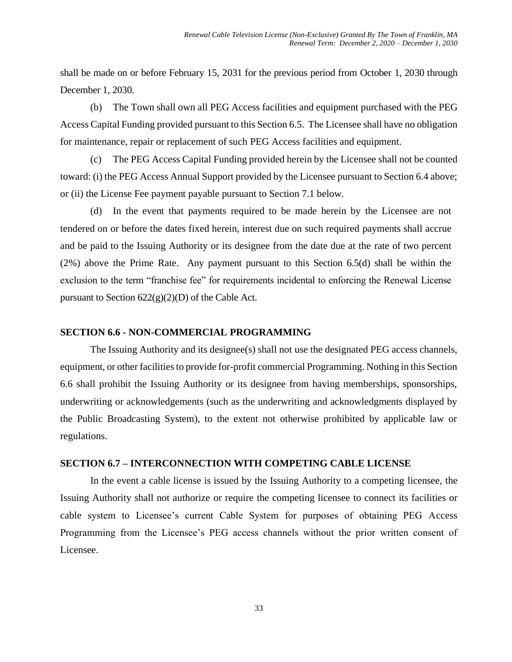shall be made on or before February 15, 2031 for the previous period from October 1, 2030 through December 1, 2030.

(b) The Town shall own all PEG Access facilities and equipment purchased with the PEG Access Capital Funding provided pursuant to this Section 6.5. The Licensee shall have no obligation for maintenance, repair or replacement of such PEG Access facilities and equipment.

(c) The PEG Access Capital Funding provided herein by the Licensee shall not be counted toward: (i) the PEG Access Annual Support provided by the Licensee pursuant to Section 6.4 above; or (ii) the License Fee payment payable pursuant to Section 7.1 below.

(d) In the event that payments required to be made herein by the Licensee are not tendered on or before the dates fixed herein, interest due on such required payments shall accrue and be paid to the Issuing Authority or its designee from the date due at the rate of two percent  $(2\%)$  above the Prime Rate. Any payment pursuant to this Section 6.5(d) shall be within the exclusion to the term "franchise fee" for requirements incidental to enforcing the Renewal License pursuant to Section  $622(g)(2)(D)$  of the Cable Act.

#### **SECTION 6.6 - NON-COMMERCIAL PROGRAMMING**

The Issuing Authority and its designee(s) shall not use the designated PEG access channels, equipment, or other facilities to provide for-profit commercial Programming. Nothing in this Section 6.6 shall prohibit the Issuing Authority or its designee from having memberships, sponsorships, underwriting or acknowledgements (such as the underwriting and acknowledgments displayed by the Public Broadcasting System), to the extent not otherwise prohibited by applicable law or regulations.

### **SECTION 6.7 – INTERCONNECTION WITH COMPETING CABLE LICENSE**

In the event a cable license is issued by the Issuing Authority to a competing licensee, the Issuing Authority shall not authorize or require the competing licensee to connect its facilities or cable system to Licensee's current Cable System for purposes of obtaining PEG Access Programming from the Licensee's PEG access channels without the prior written consent of Licensee.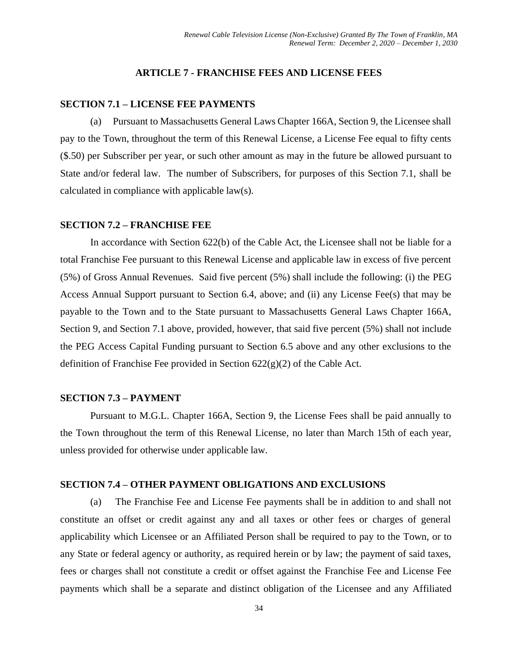#### **ARTICLE 7 - FRANCHISE FEES AND LICENSE FEES**

#### **SECTION 7.1 – LICENSE FEE PAYMENTS**

(a) Pursuant to Massachusetts General Laws Chapter 166A, Section 9, the Licensee shall pay to the Town, throughout the term of this Renewal License, a License Fee equal to fifty cents (\$.50) per Subscriber per year, or such other amount as may in the future be allowed pursuant to State and/or federal law. The number of Subscribers, for purposes of this Section 7.1, shall be calculated in compliance with applicable law(s).

#### **SECTION 7.2 – FRANCHISE FEE**

In accordance with Section 622(b) of the Cable Act, the Licensee shall not be liable for a total Franchise Fee pursuant to this Renewal License and applicable law in excess of five percent (5%) of Gross Annual Revenues. Said five percent (5%) shall include the following: (i) the PEG Access Annual Support pursuant to Section 6.4, above; and (ii) any License Fee(s) that may be payable to the Town and to the State pursuant to Massachusetts General Laws Chapter 166A, Section 9, and Section 7.1 above, provided, however, that said five percent (5%) shall not include the PEG Access Capital Funding pursuant to Section 6.5 above and any other exclusions to the definition of Franchise Fee provided in Section 622(g)(2) of the Cable Act.

#### **SECTION 7.3 – PAYMENT**

Pursuant to M.G.L. Chapter 166A, Section 9, the License Fees shall be paid annually to the Town throughout the term of this Renewal License, no later than March 15th of each year, unless provided for otherwise under applicable law.

## **SECTION 7.4 – OTHER PAYMENT OBLIGATIONS AND EXCLUSIONS**

(a) The Franchise Fee and License Fee payments shall be in addition to and shall not constitute an offset or credit against any and all taxes or other fees or charges of general applicability which Licensee or an Affiliated Person shall be required to pay to the Town, or to any State or federal agency or authority, as required herein or by law; the payment of said taxes, fees or charges shall not constitute a credit or offset against the Franchise Fee and License Fee payments which shall be a separate and distinct obligation of the Licensee and any Affiliated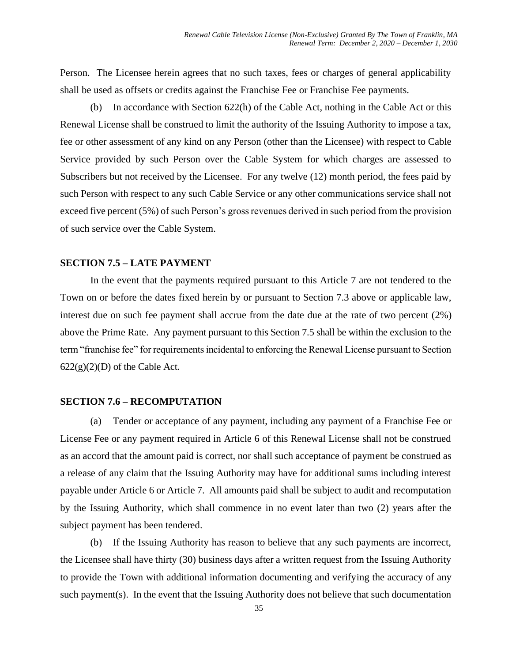Person. The Licensee herein agrees that no such taxes, fees or charges of general applicability shall be used as offsets or credits against the Franchise Fee or Franchise Fee payments.

(b) In accordance with Section 622(h) of the Cable Act, nothing in the Cable Act or this Renewal License shall be construed to limit the authority of the Issuing Authority to impose a tax, fee or other assessment of any kind on any Person (other than the Licensee) with respect to Cable Service provided by such Person over the Cable System for which charges are assessed to Subscribers but not received by the Licensee. For any twelve (12) month period, the fees paid by such Person with respect to any such Cable Service or any other communications service shall not exceed five percent (5%) of such Person's gross revenues derived in such period from the provision of such service over the Cable System.

#### **SECTION 7.5 – LATE PAYMENT**

In the event that the payments required pursuant to this Article 7 are not tendered to the Town on or before the dates fixed herein by or pursuant to Section 7.3 above or applicable law, interest due on such fee payment shall accrue from the date due at the rate of two percent (2%) above the Prime Rate. Any payment pursuant to this Section 7.5 shall be within the exclusion to the term "franchise fee" for requirements incidental to enforcing the Renewal License pursuant to Section  $622(g)(2)(D)$  of the Cable Act.

#### **SECTION 7.6 – RECOMPUTATION**

(a) Tender or acceptance of any payment, including any payment of a Franchise Fee or License Fee or any payment required in Article 6 of this Renewal License shall not be construed as an accord that the amount paid is correct, nor shall such acceptance of payment be construed as a release of any claim that the Issuing Authority may have for additional sums including interest payable under Article 6 or Article 7. All amounts paid shall be subject to audit and recomputation by the Issuing Authority, which shall commence in no event later than two (2) years after the subject payment has been tendered.

(b) If the Issuing Authority has reason to believe that any such payments are incorrect, the Licensee shall have thirty (30) business days after a written request from the Issuing Authority to provide the Town with additional information documenting and verifying the accuracy of any such payment(s). In the event that the Issuing Authority does not believe that such documentation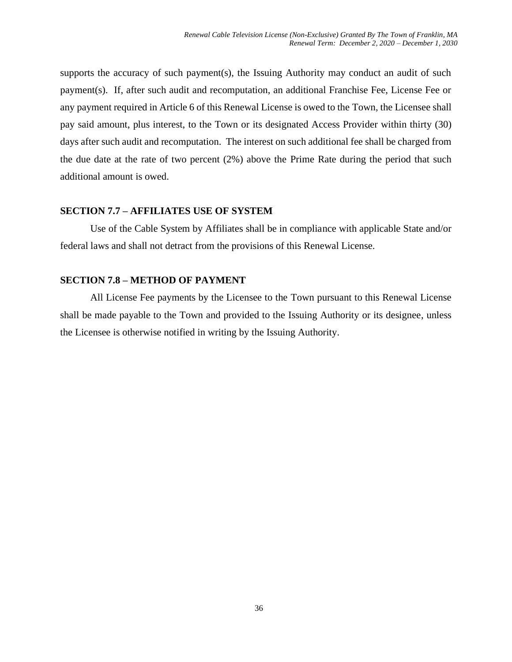supports the accuracy of such payment(s), the Issuing Authority may conduct an audit of such payment(s). If, after such audit and recomputation, an additional Franchise Fee, License Fee or any payment required in Article 6 of this Renewal License is owed to the Town, the Licensee shall pay said amount, plus interest, to the Town or its designated Access Provider within thirty (30) days after such audit and recomputation. The interest on such additional fee shall be charged from the due date at the rate of two percent (2%) above the Prime Rate during the period that such additional amount is owed.

#### **SECTION 7.7 – AFFILIATES USE OF SYSTEM**

Use of the Cable System by Affiliates shall be in compliance with applicable State and/or federal laws and shall not detract from the provisions of this Renewal License.

## **SECTION 7.8 – METHOD OF PAYMENT**

All License Fee payments by the Licensee to the Town pursuant to this Renewal License shall be made payable to the Town and provided to the Issuing Authority or its designee, unless the Licensee is otherwise notified in writing by the Issuing Authority.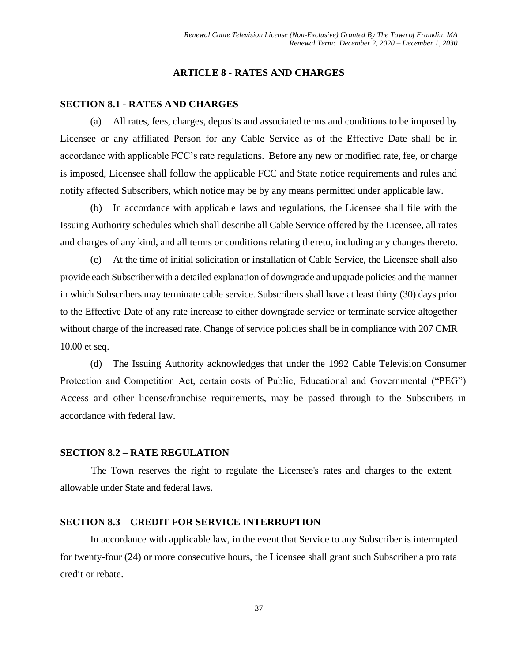#### **ARTICLE 8 - RATES AND CHARGES**

#### **SECTION 8.1 - RATES AND CHARGES**

(a) All rates, fees, charges, deposits and associated terms and conditions to be imposed by Licensee or any affiliated Person for any Cable Service as of the Effective Date shall be in accordance with applicable FCC's rate regulations. Before any new or modified rate, fee, or charge is imposed, Licensee shall follow the applicable FCC and State notice requirements and rules and notify affected Subscribers, which notice may be by any means permitted under applicable law.

(b) In accordance with applicable laws and regulations, the Licensee shall file with the Issuing Authority schedules which shall describe all Cable Service offered by the Licensee, all rates and charges of any kind, and all terms or conditions relating thereto, including any changes thereto.

(c) At the time of initial solicitation or installation of Cable Service, the Licensee shall also provide each Subscriber with a detailed explanation of downgrade and upgrade policies and the manner in which Subscribers may terminate cable service. Subscribers shall have at least thirty (30) days prior to the Effective Date of any rate increase to either downgrade service or terminate service altogether without charge of the increased rate. Change of service policies shall be in compliance with 207 CMR 10.00 et seq.

(d) The Issuing Authority acknowledges that under the 1992 Cable Television Consumer Protection and Competition Act, certain costs of Public, Educational and Governmental ("PEG") Access and other license/franchise requirements, may be passed through to the Subscribers in accordance with federal law.

### **SECTION 8.2 – RATE REGULATION**

The Town reserves the right to regulate the Licensee's rates and charges to the extent allowable under State and federal laws.

#### **SECTION 8.3 – CREDIT FOR SERVICE INTERRUPTION**

In accordance with applicable law, in the event that Service to any Subscriber is interrupted for twenty-four (24) or more consecutive hours, the Licensee shall grant such Subscriber a pro rata credit or rebate.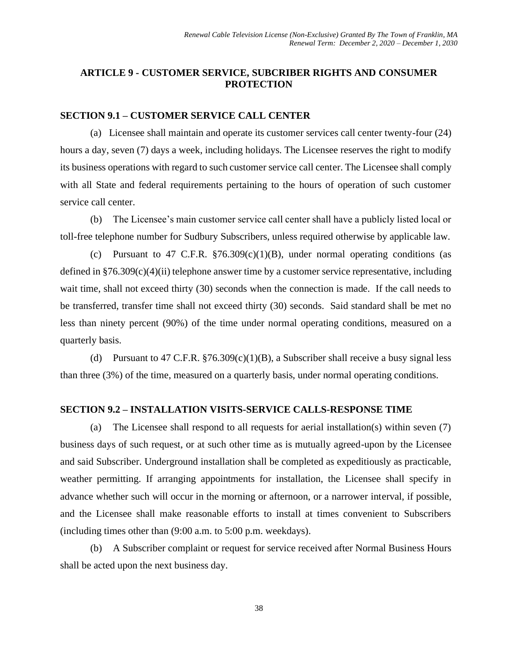## **ARTICLE 9 - CUSTOMER SERVICE, SUBCRIBER RIGHTS AND CONSUMER PROTECTION**

## **SECTION 9.1 – CUSTOMER SERVICE CALL CENTER**

(a) Licensee shall maintain and operate its customer services call center twenty-four (24) hours a day, seven (7) days a week, including holidays. The Licensee reserves the right to modify its business operations with regard to such customer service call center. The Licensee shall comply with all State and federal requirements pertaining to the hours of operation of such customer service call center.

(b) The Licensee's main customer service call center shall have a publicly listed local or toll-free telephone number for Sudbury Subscribers, unless required otherwise by applicable law.

(c) Pursuant to 47 C.F.R.  $$76.309(c)(1)(B)$ , under normal operating conditions (as defined in §76.309(c)(4)(ii) telephone answer time by a customer service representative, including wait time, shall not exceed thirty (30) seconds when the connection is made. If the call needs to be transferred, transfer time shall not exceed thirty (30) seconds. Said standard shall be met no less than ninety percent (90%) of the time under normal operating conditions, measured on a quarterly basis.

(d) Pursuant to 47 C.F.R.  $$76.309(c)(1)(B)$ , a Subscriber shall receive a busy signal less than three (3%) of the time, measured on a quarterly basis, under normal operating conditions.

## **SECTION 9.2 – INSTALLATION VISITS-SERVICE CALLS-RESPONSE TIME**

(a) The Licensee shall respond to all requests for aerial installation(s) within seven (7) business days of such request, or at such other time as is mutually agreed-upon by the Licensee and said Subscriber. Underground installation shall be completed as expeditiously as practicable, weather permitting. If arranging appointments for installation, the Licensee shall specify in advance whether such will occur in the morning or afternoon, or a narrower interval, if possible, and the Licensee shall make reasonable efforts to install at times convenient to Subscribers (including times other than (9:00 a.m. to 5:00 p.m. weekdays).

(b) A Subscriber complaint or request for service received after Normal Business Hours shall be acted upon the next business day.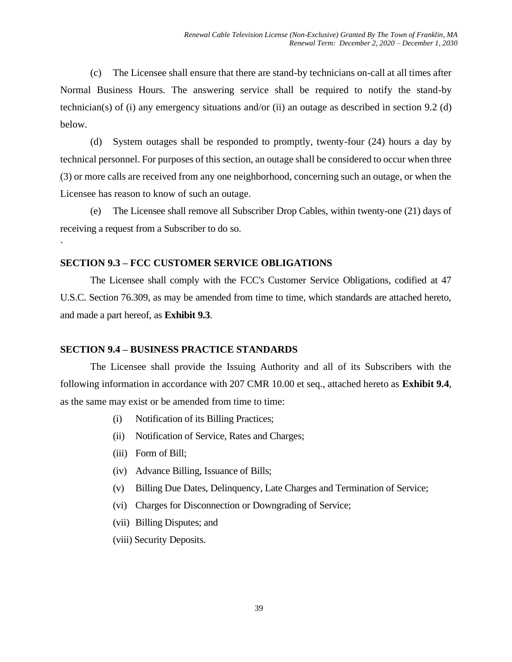(c) The Licensee shall ensure that there are stand-by technicians on-call at all times after Normal Business Hours. The answering service shall be required to notify the stand-by technician(s) of (i) any emergency situations and/or (ii) an outage as described in section 9.2 (d) below.

(d) System outages shall be responded to promptly, twenty-four (24) hours a day by technical personnel. For purposes of this section, an outage shall be considered to occur when three (3) or more calls are received from any one neighborhood, concerning such an outage, or when the Licensee has reason to know of such an outage.

(e) The Licensee shall remove all Subscriber Drop Cables, within twenty-one (21) days of receiving a request from a Subscriber to do so.

## **SECTION 9.3 – FCC CUSTOMER SERVICE OBLIGATIONS**

The Licensee shall comply with the FCC's Customer Service Obligations, codified at 47 U.S.C. Section 76.309, as may be amended from time to time, which standards are attached hereto, and made a part hereof, as **Exhibit 9.3**.

## **SECTION 9.4 – BUSINESS PRACTICE STANDARDS**

The Licensee shall provide the Issuing Authority and all of its Subscribers with the following information in accordance with 207 CMR 10.00 et seq., attached hereto as **Exhibit 9.4**, as the same may exist or be amended from time to time:

- (i) Notification of its Billing Practices;
- (ii) Notification of Service, Rates and Charges;
- (iii) Form of Bill;

`

- (iv) Advance Billing, Issuance of Bills;
- (v) Billing Due Dates, Delinquency, Late Charges and Termination of Service;
- (vi) Charges for Disconnection or Downgrading of Service;
- (vii) Billing Disputes; and
- (viii) Security Deposits.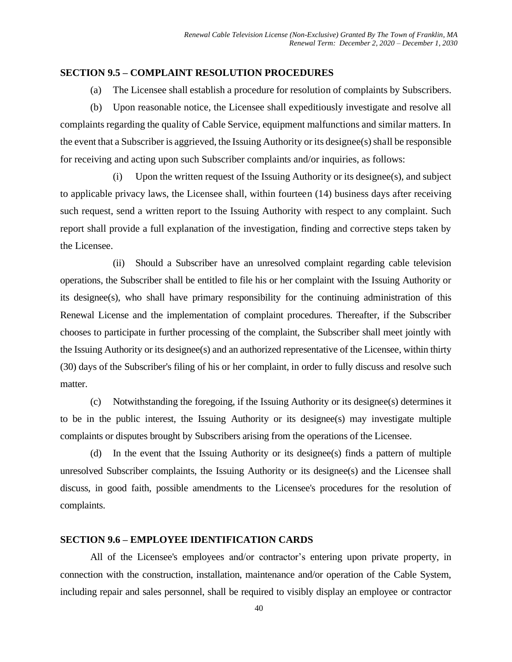#### **SECTION 9.5 – COMPLAINT RESOLUTION PROCEDURES**

(a) The Licensee shall establish a procedure for resolution of complaints by Subscribers.

(b) Upon reasonable notice, the Licensee shall expeditiously investigate and resolve all complaints regarding the quality of Cable Service, equipment malfunctions and similar matters. In the event that a Subscriber is aggrieved, the Issuing Authority or its designee(s) shall be responsible for receiving and acting upon such Subscriber complaints and/or inquiries, as follows:

(i) Upon the written request of the Issuing Authority or its designee(s), and subject to applicable privacy laws, the Licensee shall, within fourteen (14) business days after receiving such request, send a written report to the Issuing Authority with respect to any complaint. Such report shall provide a full explanation of the investigation, finding and corrective steps taken by the Licensee.

(ii) Should a Subscriber have an unresolved complaint regarding cable television operations, the Subscriber shall be entitled to file his or her complaint with the Issuing Authority or its designee(s), who shall have primary responsibility for the continuing administration of this Renewal License and the implementation of complaint procedures. Thereafter, if the Subscriber chooses to participate in further processing of the complaint, the Subscriber shall meet jointly with the Issuing Authority or its designee(s) and an authorized representative of the Licensee, within thirty (30) days of the Subscriber's filing of his or her complaint, in order to fully discuss and resolve such matter.

(c) Notwithstanding the foregoing, if the Issuing Authority or its designee(s) determines it to be in the public interest, the Issuing Authority or its designee(s) may investigate multiple complaints or disputes brought by Subscribers arising from the operations of the Licensee.

(d) In the event that the Issuing Authority or its designee(s) finds a pattern of multiple unresolved Subscriber complaints, the Issuing Authority or its designee(s) and the Licensee shall discuss, in good faith, possible amendments to the Licensee's procedures for the resolution of complaints.

#### **SECTION 9.6 – EMPLOYEE IDENTIFICATION CARDS**

All of the Licensee's employees and/or contractor's entering upon private property, in connection with the construction, installation, maintenance and/or operation of the Cable System, including repair and sales personnel, shall be required to visibly display an employee or contractor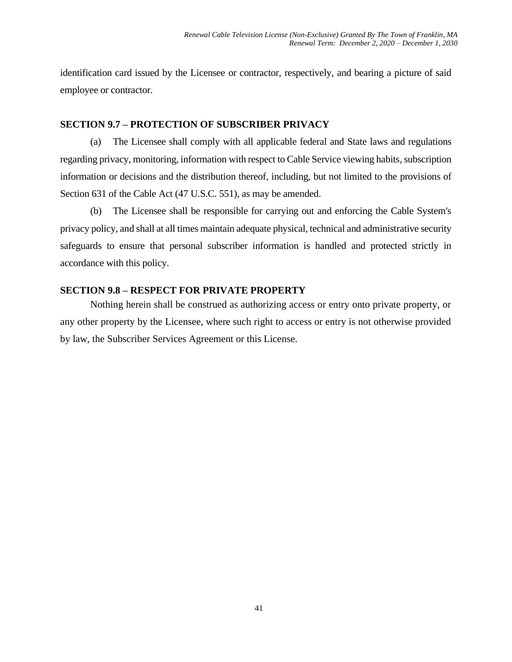identification card issued by the Licensee or contractor, respectively, and bearing a picture of said employee or contractor.

## **SECTION 9.7 – PROTECTION OF SUBSCRIBER PRIVACY**

(a) The Licensee shall comply with all applicable federal and State laws and regulations regarding privacy, monitoring, information with respect to Cable Service viewing habits, subscription information or decisions and the distribution thereof, including, but not limited to the provisions of Section 631 of the Cable Act (47 U.S.C. 551), as may be amended.

(b) The Licensee shall be responsible for carrying out and enforcing the Cable System's privacy policy, and shall at all times maintain adequate physical, technical and administrative security safeguards to ensure that personal subscriber information is handled and protected strictly in accordance with this policy.

## **SECTION 9.8 – RESPECT FOR PRIVATE PROPERTY**

Nothing herein shall be construed as authorizing access or entry onto private property, or any other property by the Licensee, where such right to access or entry is not otherwise provided by law, the Subscriber Services Agreement or this License.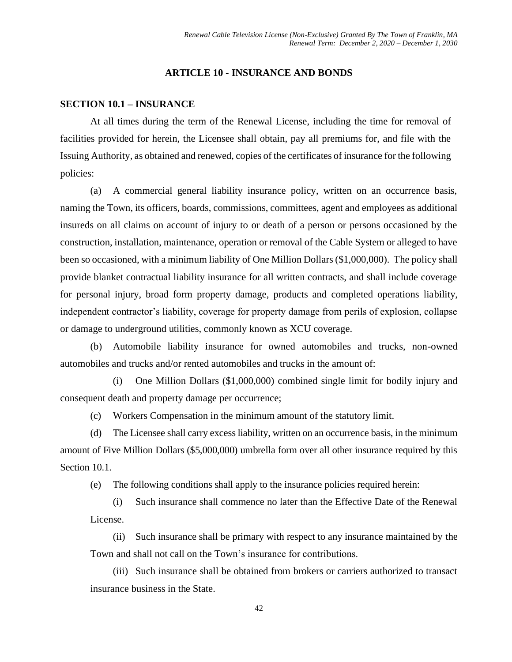#### **ARTICLE 10 - INSURANCE AND BONDS**

#### **SECTION 10.1 – INSURANCE**

At all times during the term of the Renewal License, including the time for removal of facilities provided for herein, the Licensee shall obtain, pay all premiums for, and file with the Issuing Authority, as obtained and renewed, copies of the certificates of insurance for the following policies:

(a) A commercial general liability insurance policy, written on an occurrence basis, naming the Town, its officers, boards, commissions, committees, agent and employees as additional insureds on all claims on account of injury to or death of a person or persons occasioned by the construction, installation, maintenance, operation or removal of the Cable System or alleged to have been so occasioned, with a minimum liability of One Million Dollars (\$1,000,000). The policy shall provide blanket contractual liability insurance for all written contracts, and shall include coverage for personal injury, broad form property damage, products and completed operations liability, independent contractor's liability, coverage for property damage from perils of explosion, collapse or damage to underground utilities, commonly known as XCU coverage.

(b) Automobile liability insurance for owned automobiles and trucks, non-owned automobiles and trucks and/or rented automobiles and trucks in the amount of:

(i) One Million Dollars (\$1,000,000) combined single limit for bodily injury and consequent death and property damage per occurrence;

(c) Workers Compensation in the minimum amount of the statutory limit.

(d) The Licensee shall carry excess liability, written on an occurrence basis, in the minimum amount of Five Million Dollars (\$5,000,000) umbrella form over all other insurance required by this Section 10.1.

(e) The following conditions shall apply to the insurance policies required herein:

(i) Such insurance shall commence no later than the Effective Date of the Renewal License.

(ii) Such insurance shall be primary with respect to any insurance maintained by the Town and shall not call on the Town's insurance for contributions.

(iii) Such insurance shall be obtained from brokers or carriers authorized to transact insurance business in the State.

42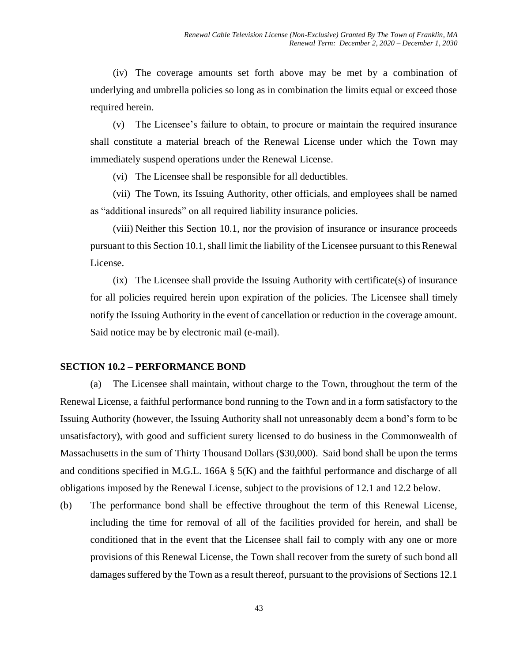(iv) The coverage amounts set forth above may be met by a combination of underlying and umbrella policies so long as in combination the limits equal or exceed those required herein.

(v) The Licensee's failure to obtain, to procure or maintain the required insurance shall constitute a material breach of the Renewal License under which the Town may immediately suspend operations under the Renewal License.

(vi) The Licensee shall be responsible for all deductibles.

(vii) The Town, its Issuing Authority, other officials, and employees shall be named as "additional insureds" on all required liability insurance policies.

(viii) Neither this Section 10.1, nor the provision of insurance or insurance proceeds pursuant to this Section 10.1, shall limit the liability of the Licensee pursuant to this Renewal License.

(ix) The Licensee shall provide the Issuing Authority with certificate(s) of insurance for all policies required herein upon expiration of the policies. The Licensee shall timely notify the Issuing Authority in the event of cancellation or reduction in the coverage amount. Said notice may be by electronic mail (e-mail).

#### **SECTION 10.2 – PERFORMANCE BOND**

(a) The Licensee shall maintain, without charge to the Town, throughout the term of the Renewal License, a faithful performance bond running to the Town and in a form satisfactory to the Issuing Authority (however, the Issuing Authority shall not unreasonably deem a bond's form to be unsatisfactory), with good and sufficient surety licensed to do business in the Commonwealth of Massachusetts in the sum of Thirty Thousand Dollars (\$30,000). Said bond shall be upon the terms and conditions specified in M.G.L. 166A § 5(K) and the faithful performance and discharge of all obligations imposed by the Renewal License, subject to the provisions of 12.1 and 12.2 below.

(b) The performance bond shall be effective throughout the term of this Renewal License, including the time for removal of all of the facilities provided for herein, and shall be conditioned that in the event that the Licensee shall fail to comply with any one or more provisions of this Renewal License, the Town shall recover from the surety of such bond all damages suffered by the Town as a result thereof, pursuant to the provisions of Sections 12.1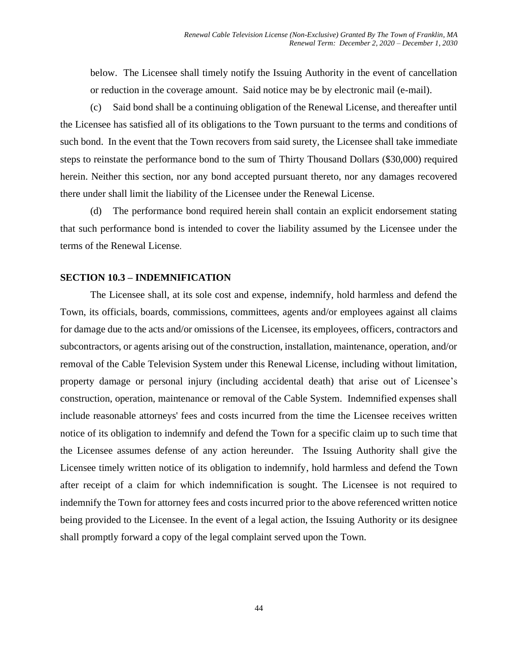below. The Licensee shall timely notify the Issuing Authority in the event of cancellation or reduction in the coverage amount. Said notice may be by electronic mail (e-mail).

(c) Said bond shall be a continuing obligation of the Renewal License, and thereafter until the Licensee has satisfied all of its obligations to the Town pursuant to the terms and conditions of such bond. In the event that the Town recovers from said surety, the Licensee shall take immediate steps to reinstate the performance bond to the sum of Thirty Thousand Dollars (\$30,000) required herein. Neither this section, nor any bond accepted pursuant thereto, nor any damages recovered there under shall limit the liability of the Licensee under the Renewal License.

(d) The performance bond required herein shall contain an explicit endorsement stating that such performance bond is intended to cover the liability assumed by the Licensee under the terms of the Renewal License.

#### **SECTION 10.3 – INDEMNIFICATION**

The Licensee shall, at its sole cost and expense, indemnify, hold harmless and defend the Town, its officials, boards, commissions, committees, agents and/or employees against all claims for damage due to the acts and/or omissions of the Licensee, its employees, officers, contractors and subcontractors, or agents arising out of the construction, installation, maintenance, operation, and/or removal of the Cable Television System under this Renewal License, including without limitation, property damage or personal injury (including accidental death) that arise out of Licensee's construction, operation, maintenance or removal of the Cable System. Indemnified expenses shall include reasonable attorneys' fees and costs incurred from the time the Licensee receives written notice of its obligation to indemnify and defend the Town for a specific claim up to such time that the Licensee assumes defense of any action hereunder. The Issuing Authority shall give the Licensee timely written notice of its obligation to indemnify, hold harmless and defend the Town after receipt of a claim for which indemnification is sought. The Licensee is not required to indemnify the Town for attorney fees and costs incurred prior to the above referenced written notice being provided to the Licensee. In the event of a legal action, the Issuing Authority or its designee shall promptly forward a copy of the legal complaint served upon the Town.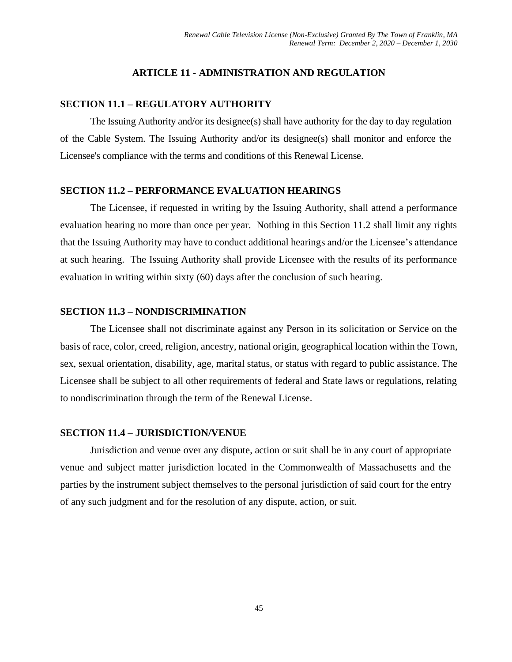#### **ARTICLE 11 - ADMINISTRATION AND REGULATION**

#### **SECTION 11.1 – REGULATORY AUTHORITY**

The Issuing Authority and/or its designee(s) shall have authority for the day to day regulation of the Cable System. The Issuing Authority and/or its designee(s) shall monitor and enforce the Licensee's compliance with the terms and conditions of this Renewal License.

#### **SECTION 11.2 – PERFORMANCE EVALUATION HEARINGS**

The Licensee, if requested in writing by the Issuing Authority, shall attend a performance evaluation hearing no more than once per year. Nothing in this Section 11.2 shall limit any rights that the Issuing Authority may have to conduct additional hearings and/or the Licensee's attendance at such hearing. The Issuing Authority shall provide Licensee with the results of its performance evaluation in writing within sixty (60) days after the conclusion of such hearing.

#### **SECTION 11.3 – NONDISCRIMINATION**

The Licensee shall not discriminate against any Person in its solicitation or Service on the basis of race, color, creed, religion, ancestry, national origin, geographical location within the Town, sex, sexual orientation, disability, age, marital status, or status with regard to public assistance. The Licensee shall be subject to all other requirements of federal and State laws or regulations, relating to nondiscrimination through the term of the Renewal License.

## **SECTION 11.4 – JURISDICTION/VENUE**

Jurisdiction and venue over any dispute, action or suit shall be in any court of appropriate venue and subject matter jurisdiction located in the Commonwealth of Massachusetts and the parties by the instrument subject themselves to the personal jurisdiction of said court for the entry of any such judgment and for the resolution of any dispute, action, or suit.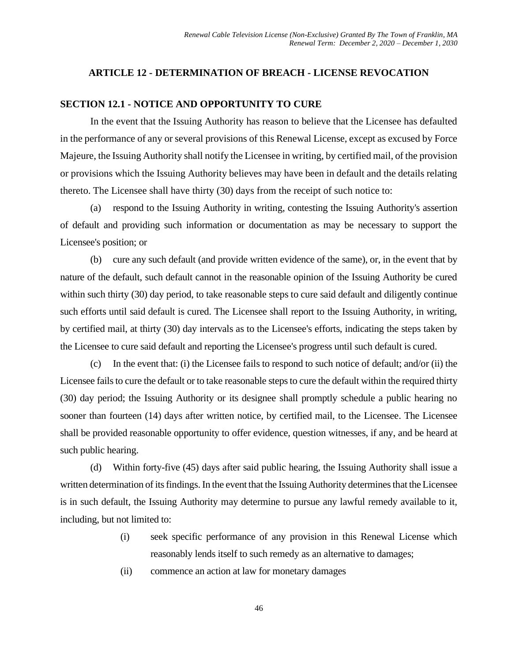#### **ARTICLE 12 - DETERMINATION OF BREACH - LICENSE REVOCATION**

#### **SECTION 12.1 - NOTICE AND OPPORTUNITY TO CURE**

In the event that the Issuing Authority has reason to believe that the Licensee has defaulted in the performance of any or several provisions of this Renewal License, except as excused by Force Majeure, the Issuing Authority shall notify the Licensee in writing, by certified mail, of the provision or provisions which the Issuing Authority believes may have been in default and the details relating thereto. The Licensee shall have thirty (30) days from the receipt of such notice to:

(a) respond to the Issuing Authority in writing, contesting the Issuing Authority's assertion of default and providing such information or documentation as may be necessary to support the Licensee's position; or

(b) cure any such default (and provide written evidence of the same), or, in the event that by nature of the default, such default cannot in the reasonable opinion of the Issuing Authority be cured within such thirty (30) day period, to take reasonable steps to cure said default and diligently continue such efforts until said default is cured. The Licensee shall report to the Issuing Authority, in writing, by certified mail, at thirty (30) day intervals as to the Licensee's efforts, indicating the steps taken by the Licensee to cure said default and reporting the Licensee's progress until such default is cured.

(c) In the event that: (i) the Licensee fails to respond to such notice of default; and/or (ii) the Licensee fails to cure the default or to take reasonable steps to cure the default within the required thirty (30) day period; the Issuing Authority or its designee shall promptly schedule a public hearing no sooner than fourteen (14) days after written notice, by certified mail, to the Licensee. The Licensee shall be provided reasonable opportunity to offer evidence, question witnesses, if any, and be heard at such public hearing.

(d) Within forty-five (45) days after said public hearing, the Issuing Authority shall issue a written determination of its findings. In the event that the Issuing Authority determines that the Licensee is in such default, the Issuing Authority may determine to pursue any lawful remedy available to it, including, but not limited to:

- (i) seek specific performance of any provision in this Renewal License which reasonably lends itself to such remedy as an alternative to damages;
- (ii) commence an action at law for monetary damages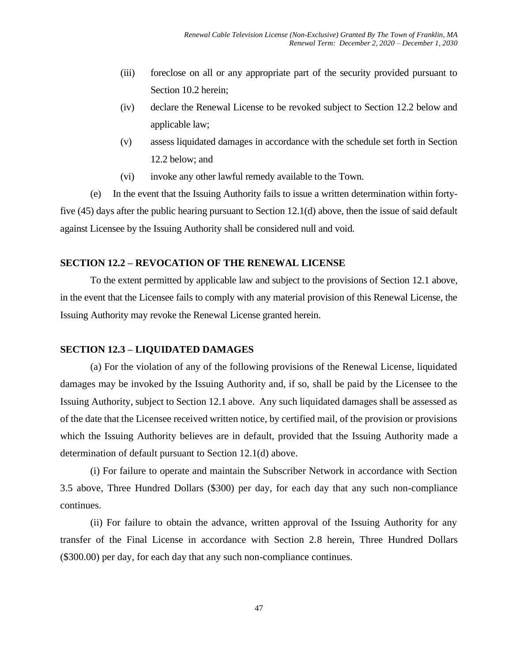- (iii) foreclose on all or any appropriate part of the security provided pursuant to Section 10.2 herein;
- (iv) declare the Renewal License to be revoked subject to Section 12.2 below and applicable law;
- (v) assess liquidated damages in accordance with the schedule set forth in Section 12.2 below; and
- (vi) invoke any other lawful remedy available to the Town.

(e) In the event that the Issuing Authority fails to issue a written determination within fortyfive (45) days after the public hearing pursuant to Section 12.1(d) above, then the issue of said default against Licensee by the Issuing Authority shall be considered null and void.

## **SECTION 12.2 – REVOCATION OF THE RENEWAL LICENSE**

To the extent permitted by applicable law and subject to the provisions of Section 12.1 above, in the event that the Licensee fails to comply with any material provision of this Renewal License, the Issuing Authority may revoke the Renewal License granted herein.

## **SECTION 12.3 – LIQUIDATED DAMAGES**

(a) For the violation of any of the following provisions of the Renewal License, liquidated damages may be invoked by the Issuing Authority and, if so, shall be paid by the Licensee to the Issuing Authority, subject to Section 12.1 above. Any such liquidated damages shall be assessed as of the date that the Licensee received written notice, by certified mail, of the provision or provisions which the Issuing Authority believes are in default, provided that the Issuing Authority made a determination of default pursuant to Section 12.1(d) above.

(i) For failure to operate and maintain the Subscriber Network in accordance with Section 3.5 above, Three Hundred Dollars (\$300) per day, for each day that any such non-compliance continues.

(ii) For failure to obtain the advance, written approval of the Issuing Authority for any transfer of the Final License in accordance with Section 2.8 herein, Three Hundred Dollars (\$300.00) per day, for each day that any such non-compliance continues.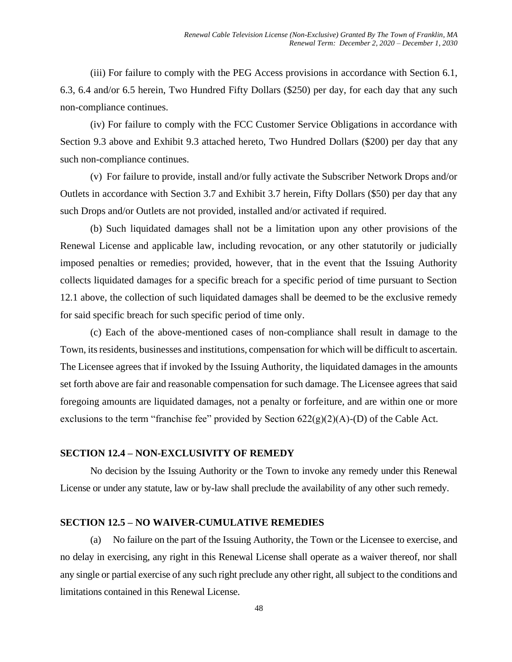(iii) For failure to comply with the PEG Access provisions in accordance with Section 6.1, 6.3, 6.4 and/or 6.5 herein, Two Hundred Fifty Dollars (\$250) per day, for each day that any such non-compliance continues.

(iv) For failure to comply with the FCC Customer Service Obligations in accordance with Section 9.3 above and Exhibit 9.3 attached hereto, Two Hundred Dollars (\$200) per day that any such non-compliance continues.

(v) For failure to provide, install and/or fully activate the Subscriber Network Drops and/or Outlets in accordance with Section 3.7 and Exhibit 3.7 herein, Fifty Dollars (\$50) per day that any such Drops and/or Outlets are not provided, installed and/or activated if required.

(b) Such liquidated damages shall not be a limitation upon any other provisions of the Renewal License and applicable law, including revocation, or any other statutorily or judicially imposed penalties or remedies; provided, however, that in the event that the Issuing Authority collects liquidated damages for a specific breach for a specific period of time pursuant to Section 12.1 above, the collection of such liquidated damages shall be deemed to be the exclusive remedy for said specific breach for such specific period of time only.

(c) Each of the above-mentioned cases of non-compliance shall result in damage to the Town, its residents, businesses and institutions, compensation for which will be difficult to ascertain. The Licensee agrees that if invoked by the Issuing Authority, the liquidated damages in the amounts set forth above are fair and reasonable compensation for such damage. The Licensee agrees that said foregoing amounts are liquidated damages, not a penalty or forfeiture, and are within one or more exclusions to the term "franchise fee" provided by Section  $622(g)(2)(A)$ -(D) of the Cable Act.

#### **SECTION 12.4 – NON-EXCLUSIVITY OF REMEDY**

No decision by the Issuing Authority or the Town to invoke any remedy under this Renewal License or under any statute, law or by-law shall preclude the availability of any other such remedy.

#### **SECTION 12.5 – NO WAIVER-CUMULATIVE REMEDIES**

(a) No failure on the part of the Issuing Authority, the Town or the Licensee to exercise, and no delay in exercising, any right in this Renewal License shall operate as a waiver thereof, nor shall any single or partial exercise of any such right preclude any other right, all subject to the conditions and limitations contained in this Renewal License.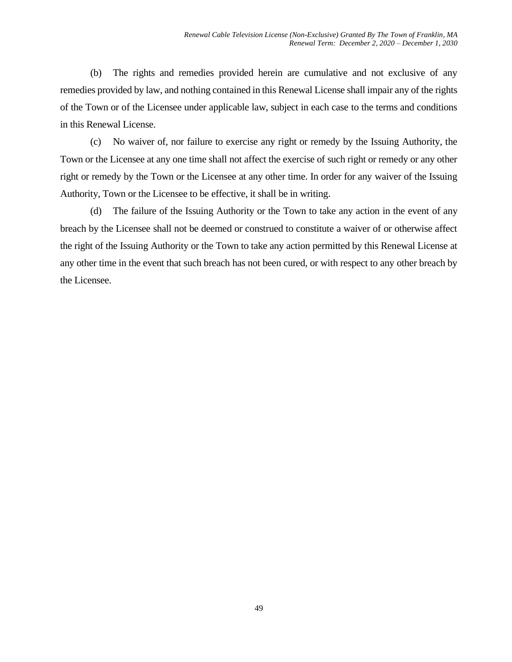(b) The rights and remedies provided herein are cumulative and not exclusive of any remedies provided by law, and nothing contained in this Renewal License shall impair any of the rights of the Town or of the Licensee under applicable law, subject in each case to the terms and conditions in this Renewal License.

(c) No waiver of, nor failure to exercise any right or remedy by the Issuing Authority, the Town or the Licensee at any one time shall not affect the exercise of such right or remedy or any other right or remedy by the Town or the Licensee at any other time. In order for any waiver of the Issuing Authority, Town or the Licensee to be effective, it shall be in writing.

(d) The failure of the Issuing Authority or the Town to take any action in the event of any breach by the Licensee shall not be deemed or construed to constitute a waiver of or otherwise affect the right of the Issuing Authority or the Town to take any action permitted by this Renewal License at any other time in the event that such breach has not been cured, or with respect to any other breach by the Licensee.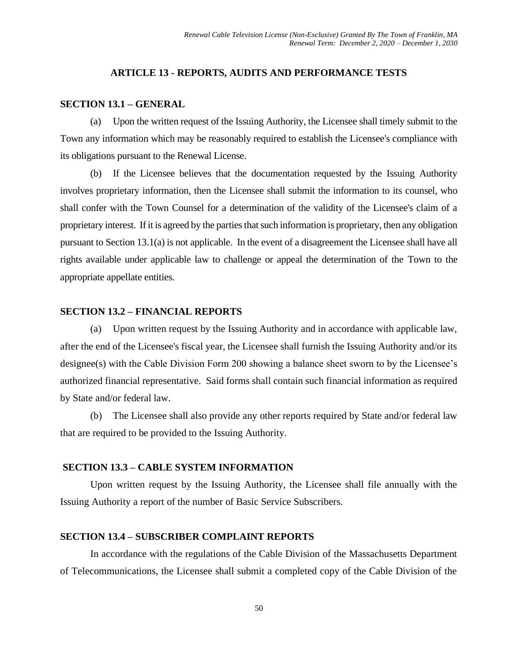#### **ARTICLE 13 - REPORTS, AUDITS AND PERFORMANCE TESTS**

#### **SECTION 13.1 – GENERAL**

(a) Upon the written request of the Issuing Authority, the Licensee shall timely submit to the Town any information which may be reasonably required to establish the Licensee's compliance with its obligations pursuant to the Renewal License.

(b) If the Licensee believes that the documentation requested by the Issuing Authority involves proprietary information, then the Licensee shall submit the information to its counsel, who shall confer with the Town Counsel for a determination of the validity of the Licensee's claim of a proprietary interest. If it is agreed by the parties that such information is proprietary, then any obligation pursuant to Section 13.1(a) is not applicable. In the event of a disagreement the Licensee shall have all rights available under applicable law to challenge or appeal the determination of the Town to the appropriate appellate entities.

#### **SECTION 13.2 – FINANCIAL REPORTS**

(a) Upon written request by the Issuing Authority and in accordance with applicable law, after the end of the Licensee's fiscal year, the Licensee shall furnish the Issuing Authority and/or its designee(s) with the Cable Division Form 200 showing a balance sheet sworn to by the Licensee's authorized financial representative. Said forms shall contain such financial information as required by State and/or federal law.

(b) The Licensee shall also provide any other reports required by State and/or federal law that are required to be provided to the Issuing Authority.

#### **SECTION 13.3 – CABLE SYSTEM INFORMATION**

Upon written request by the Issuing Authority, the Licensee shall file annually with the Issuing Authority a report of the number of Basic Service Subscribers.

#### **SECTION 13.4 – SUBSCRIBER COMPLAINT REPORTS**

In accordance with the regulations of the Cable Division of the Massachusetts Department of Telecommunications, the Licensee shall submit a completed copy of the Cable Division of the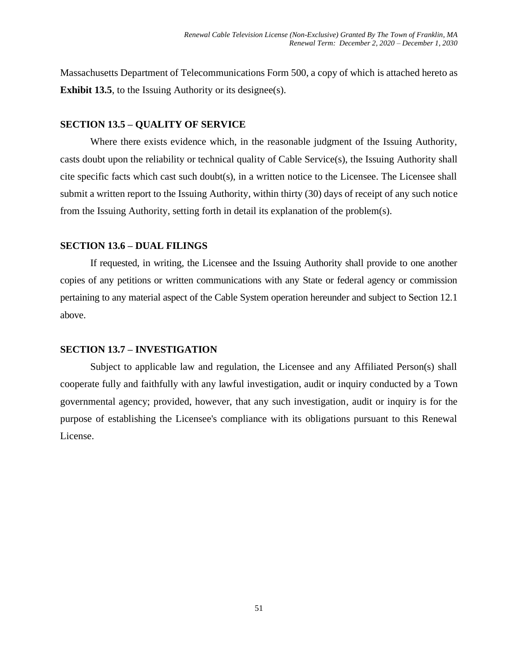Massachusetts Department of Telecommunications Form 500, a copy of which is attached hereto as **Exhibit 13.5**, to the Issuing Authority or its designee(s).

## **SECTION 13.5 – QUALITY OF SERVICE**

Where there exists evidence which, in the reasonable judgment of the Issuing Authority, casts doubt upon the reliability or technical quality of Cable Service(s), the Issuing Authority shall cite specific facts which cast such doubt(s), in a written notice to the Licensee. The Licensee shall submit a written report to the Issuing Authority, within thirty (30) days of receipt of any such notice from the Issuing Authority, setting forth in detail its explanation of the problem(s).

#### **SECTION 13.6 – DUAL FILINGS**

If requested, in writing, the Licensee and the Issuing Authority shall provide to one another copies of any petitions or written communications with any State or federal agency or commission pertaining to any material aspect of the Cable System operation hereunder and subject to Section 12.1 above.

## **SECTION 13.7 – INVESTIGATION**

Subject to applicable law and regulation, the Licensee and any Affiliated Person(s) shall cooperate fully and faithfully with any lawful investigation, audit or inquiry conducted by a Town governmental agency; provided, however, that any such investigation, audit or inquiry is for the purpose of establishing the Licensee's compliance with its obligations pursuant to this Renewal License.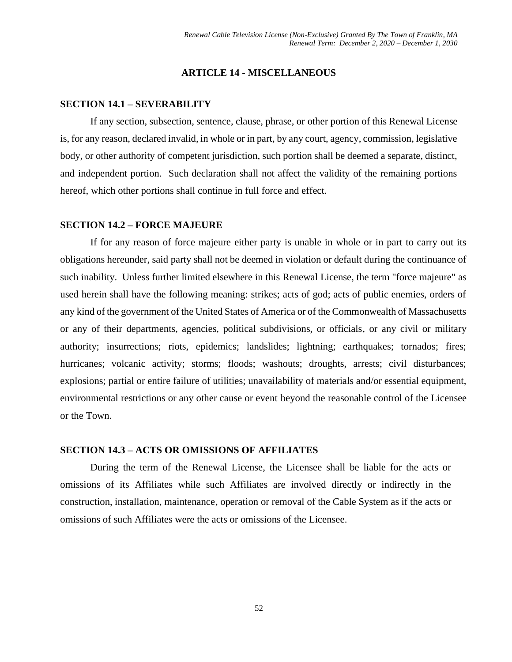#### **ARTICLE 14 - MISCELLANEOUS**

#### **SECTION 14.1 – SEVERABILITY**

If any section, subsection, sentence, clause, phrase, or other portion of this Renewal License is, for any reason, declared invalid, in whole or in part, by any court, agency, commission, legislative body, or other authority of competent jurisdiction, such portion shall be deemed a separate, distinct, and independent portion. Such declaration shall not affect the validity of the remaining portions hereof, which other portions shall continue in full force and effect.

#### **SECTION 14.2 – FORCE MAJEURE**

If for any reason of force majeure either party is unable in whole or in part to carry out its obligations hereunder, said party shall not be deemed in violation or default during the continuance of such inability. Unless further limited elsewhere in this Renewal License, the term "force majeure" as used herein shall have the following meaning: strikes; acts of god; acts of public enemies, orders of any kind of the government of the United States of America or of the Commonwealth of Massachusetts or any of their departments, agencies, political subdivisions, or officials, or any civil or military authority; insurrections; riots, epidemics; landslides; lightning; earthquakes; tornados; fires; hurricanes; volcanic activity; storms; floods; washouts; droughts, arrests; civil disturbances; explosions; partial or entire failure of utilities; unavailability of materials and/or essential equipment, environmental restrictions or any other cause or event beyond the reasonable control of the Licensee or the Town.

#### **SECTION 14.3 – ACTS OR OMISSIONS OF AFFILIATES**

During the term of the Renewal License, the Licensee shall be liable for the acts or omissions of its Affiliates while such Affiliates are involved directly or indirectly in the construction, installation, maintenance, operation or removal of the Cable System as if the acts or omissions of such Affiliates were the acts or omissions of the Licensee.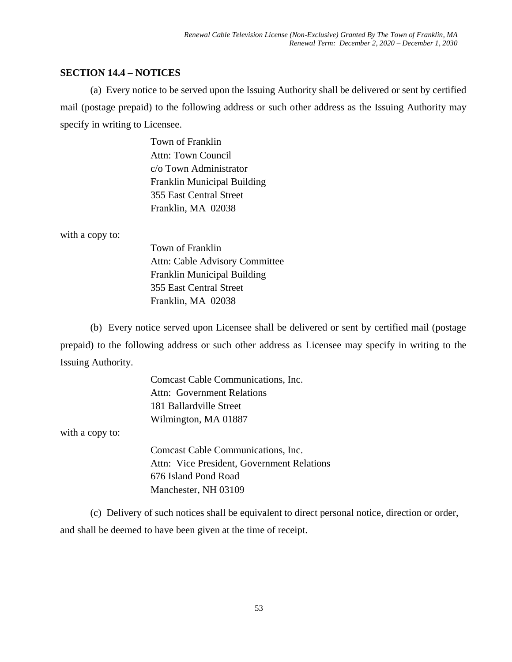## **SECTION 14.4 – NOTICES**

(a) Every notice to be served upon the Issuing Authority shall be delivered or sent by certified mail (postage prepaid) to the following address or such other address as the Issuing Authority may specify in writing to Licensee.

> Town of Franklin Attn: Town Council c/o Town Administrator Franklin Municipal Building 355 East Central Street Franklin, MA 02038

with a copy to:

Town of Franklin Attn: Cable Advisory Committee Franklin Municipal Building 355 East Central Street Franklin, MA 02038

(b) Every notice served upon Licensee shall be delivered or sent by certified mail (postage prepaid) to the following address or such other address as Licensee may specify in writing to the Issuing Authority.

> Comcast Cable Communications, Inc. Attn: Government Relations 181 Ballardville Street Wilmington, MA 01887

with a copy to:

Comcast Cable Communications, Inc. Attn: Vice President, Government Relations 676 Island Pond Road Manchester, NH 03109

(c) Delivery of such notices shall be equivalent to direct personal notice, direction or order, and shall be deemed to have been given at the time of receipt.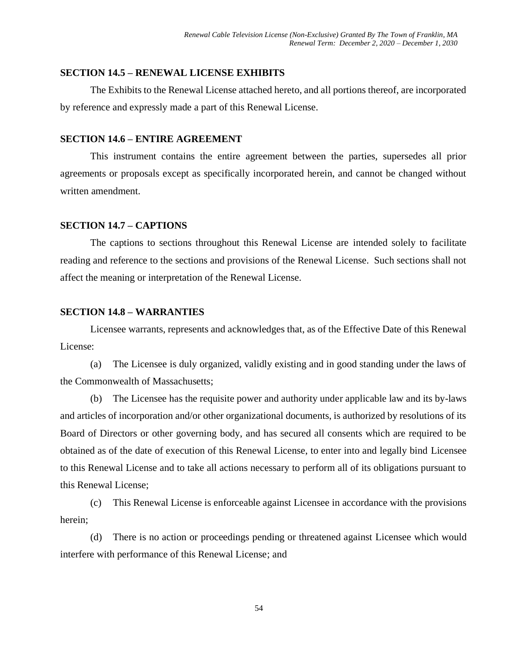#### **SECTION 14.5 – RENEWAL LICENSE EXHIBITS**

The Exhibits to the Renewal License attached hereto, and all portions thereof, are incorporated by reference and expressly made a part of this Renewal License.

## **SECTION 14.6 – ENTIRE AGREEMENT**

This instrument contains the entire agreement between the parties, supersedes all prior agreements or proposals except as specifically incorporated herein, and cannot be changed without written amendment.

## **SECTION 14.7 – CAPTIONS**

The captions to sections throughout this Renewal License are intended solely to facilitate reading and reference to the sections and provisions of the Renewal License. Such sections shall not affect the meaning or interpretation of the Renewal License.

#### **SECTION 14.8 – WARRANTIES**

Licensee warrants, represents and acknowledges that, as of the Effective Date of this Renewal License:

(a) The Licensee is duly organized, validly existing and in good standing under the laws of the Commonwealth of Massachusetts;

(b) The Licensee has the requisite power and authority under applicable law and its by-laws and articles of incorporation and/or other organizational documents, is authorized by resolutions of its Board of Directors or other governing body, and has secured all consents which are required to be obtained as of the date of execution of this Renewal License, to enter into and legally bind Licensee to this Renewal License and to take all actions necessary to perform all of its obligations pursuant to this Renewal License;

(c) This Renewal License is enforceable against Licensee in accordance with the provisions herein;

(d) There is no action or proceedings pending or threatened against Licensee which would interfere with performance of this Renewal License; and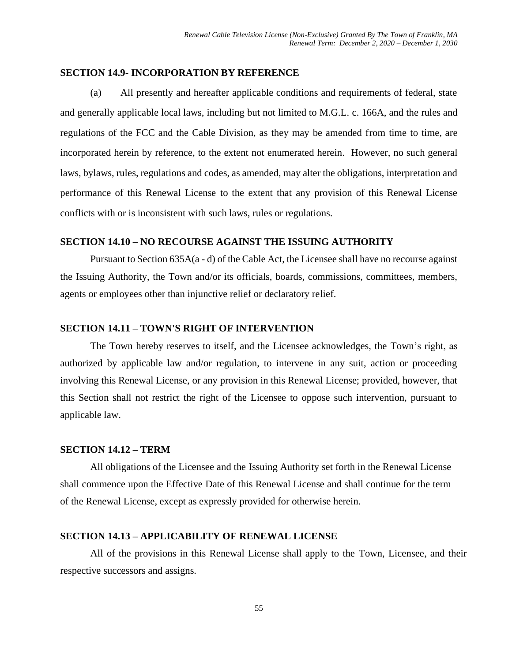#### **SECTION 14.9- INCORPORATION BY REFERENCE**

(a) All presently and hereafter applicable conditions and requirements of federal, state and generally applicable local laws, including but not limited to M.G.L. c. 166A, and the rules and regulations of the FCC and the Cable Division, as they may be amended from time to time, are incorporated herein by reference, to the extent not enumerated herein. However, no such general laws, bylaws, rules, regulations and codes, as amended, may alter the obligations, interpretation and performance of this Renewal License to the extent that any provision of this Renewal License conflicts with or is inconsistent with such laws, rules or regulations.

### **SECTION 14.10 – NO RECOURSE AGAINST THE ISSUING AUTHORITY**

Pursuant to Section  $635A(a - d)$  of the Cable Act, the Licensee shall have no recourse against the Issuing Authority, the Town and/or its officials, boards, commissions, committees, members, agents or employees other than injunctive relief or declaratory relief.

## **SECTION 14.11 – TOWN'S RIGHT OF INTERVENTION**

The Town hereby reserves to itself, and the Licensee acknowledges, the Town's right, as authorized by applicable law and/or regulation, to intervene in any suit, action or proceeding involving this Renewal License, or any provision in this Renewal License; provided, however, that this Section shall not restrict the right of the Licensee to oppose such intervention, pursuant to applicable law.

#### **SECTION 14.12 – TERM**

All obligations of the Licensee and the Issuing Authority set forth in the Renewal License shall commence upon the Effective Date of this Renewal License and shall continue for the term of the Renewal License, except as expressly provided for otherwise herein.

## **SECTION 14.13 – APPLICABILITY OF RENEWAL LICENSE**

All of the provisions in this Renewal License shall apply to the Town, Licensee, and their respective successors and assigns.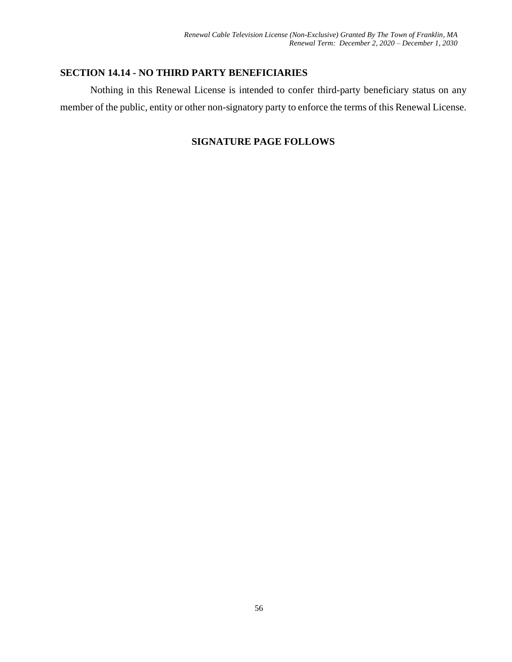## **SECTION 14.14 - NO THIRD PARTY BENEFICIARIES**

Nothing in this Renewal License is intended to confer third-party beneficiary status on any member of the public, entity or other non-signatory party to enforce the terms of this Renewal License.

## **SIGNATURE PAGE FOLLOWS**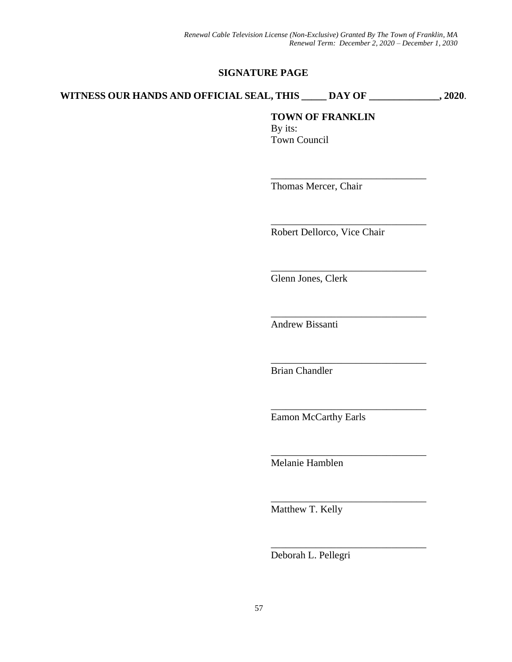## **SIGNATURE PAGE**

## **WITNESS OUR HANDS AND OFFICIAL SEAL, THIS \_\_\_\_\_ DAY OF \_\_\_\_\_\_\_\_\_\_\_\_\_\_, 2020**.

## **TOWN OF FRANKLIN** By its: Town Council

Thomas Mercer, Chair

Robert Dellorco, Vice Chair

\_\_\_\_\_\_\_\_\_\_\_\_\_\_\_\_\_\_\_\_\_\_\_\_\_\_\_\_\_\_\_

\_\_\_\_\_\_\_\_\_\_\_\_\_\_\_\_\_\_\_\_\_\_\_\_\_\_\_\_\_\_\_

\_\_\_\_\_\_\_\_\_\_\_\_\_\_\_\_\_\_\_\_\_\_\_\_\_\_\_\_\_\_\_

\_\_\_\_\_\_\_\_\_\_\_\_\_\_\_\_\_\_\_\_\_\_\_\_\_\_\_\_\_\_\_

\_\_\_\_\_\_\_\_\_\_\_\_\_\_\_\_\_\_\_\_\_\_\_\_\_\_\_\_\_\_\_

\_\_\_\_\_\_\_\_\_\_\_\_\_\_\_\_\_\_\_\_\_\_\_\_\_\_\_\_\_\_\_

\_\_\_\_\_\_\_\_\_\_\_\_\_\_\_\_\_\_\_\_\_\_\_\_\_\_\_\_\_\_\_

\_\_\_\_\_\_\_\_\_\_\_\_\_\_\_\_\_\_\_\_\_\_\_\_\_\_\_\_\_\_\_

\_\_\_\_\_\_\_\_\_\_\_\_\_\_\_\_\_\_\_\_\_\_\_\_\_\_\_\_\_\_\_

Glenn Jones, Clerk

Andrew Bissanti

Brian Chandler

Eamon McCarthy Earls

Melanie Hamblen

Matthew T. Kelly

Deborah L. Pellegri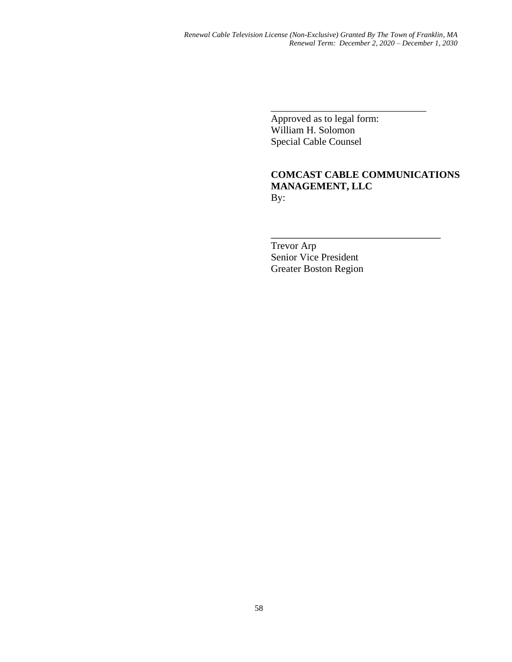Approved as to legal form: William H. Solomon Special Cable Counsel

\_\_\_\_\_\_\_\_\_\_\_\_\_\_\_\_\_\_\_\_\_\_\_\_\_\_\_\_\_\_\_

## **COMCAST CABLE COMMUNICATIONS MANAGEMENT, LLC** By:

\_\_\_\_\_\_\_\_\_\_\_\_\_\_\_\_\_\_\_\_\_\_\_\_\_\_\_\_\_

Trevor Arp Senior Vice President Greater Boston Region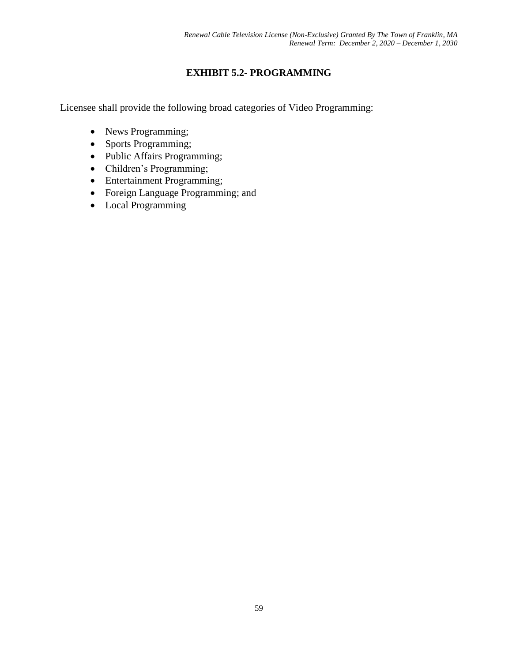## **EXHIBIT 5.2- PROGRAMMING**

Licensee shall provide the following broad categories of Video Programming:

- News Programming;
- Sports Programming;
- Public Affairs Programming;
- Children's Programming;
- Entertainment Programming;
- Foreign Language Programming; and
- Local Programming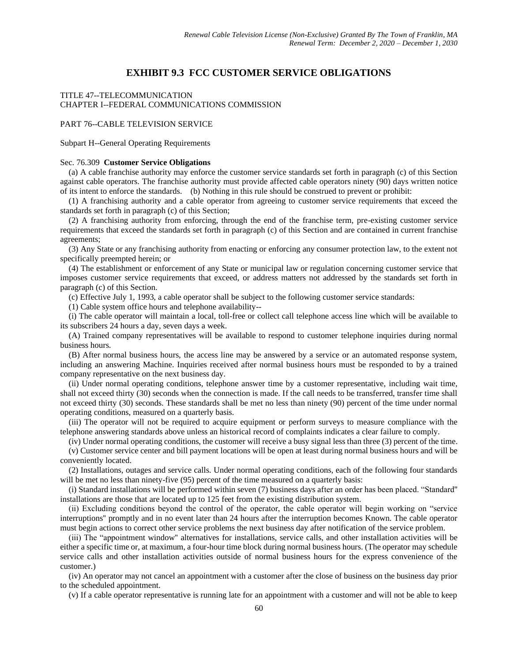#### **EXHIBIT 9.3 FCC CUSTOMER SERVICE OBLIGATIONS**

#### TITLE 47--TELECOMMUNICATION CHAPTER I--FEDERAL COMMUNICATIONS COMMISSION

#### PART 76--CABLE TELEVISION SERVICE

Subpart H--General Operating Requirements

#### Sec. 76.309 **Customer Service Obligations**

 (a) A cable franchise authority may enforce the customer service standards set forth in paragraph (c) of this Section against cable operators. The franchise authority must provide affected cable operators ninety (90) days written notice of its intent to enforce the standards. (b) Nothing in this rule should be construed to prevent or prohibit:

 (1) A franchising authority and a cable operator from agreeing to customer service requirements that exceed the standards set forth in paragraph (c) of this Section;

 (2) A franchising authority from enforcing, through the end of the franchise term, pre-existing customer service requirements that exceed the standards set forth in paragraph (c) of this Section and are contained in current franchise agreements;

 (3) Any State or any franchising authority from enacting or enforcing any consumer protection law, to the extent not specifically preempted herein; or

 (4) The establishment or enforcement of any State or municipal law or regulation concerning customer service that imposes customer service requirements that exceed, or address matters not addressed by the standards set forth in paragraph (c) of this Section.

(c) Effective July 1, 1993, a cable operator shall be subject to the following customer service standards:

(1) Cable system office hours and telephone availability--

 (i) The cable operator will maintain a local, toll-free or collect call telephone access line which will be available to its subscribers 24 hours a day, seven days a week.

 (A) Trained company representatives will be available to respond to customer telephone inquiries during normal business hours.

 (B) After normal business hours, the access line may be answered by a service or an automated response system, including an answering Machine. Inquiries received after normal business hours must be responded to by a trained company representative on the next business day.

 (ii) Under normal operating conditions, telephone answer time by a customer representative, including wait time, shall not exceed thirty (30) seconds when the connection is made. If the call needs to be transferred, transfer time shall not exceed thirty (30) seconds. These standards shall be met no less than ninety (90) percent of the time under normal operating conditions, measured on a quarterly basis.

 (iii) The operator will not be required to acquire equipment or perform surveys to measure compliance with the telephone answering standards above unless an historical record of complaints indicates a clear failure to comply.

(iv) Under normal operating conditions, the customer will receive a busy signal less than three (3) percent of the time.

 (v) Customer service center and bill payment locations will be open at least during normal business hours and will be conveniently located.

 (2) Installations, outages and service calls. Under normal operating conditions, each of the following four standards will be met no less than ninety-five (95) percent of the time measured on a quarterly basis:

 (i) Standard installations will be performed within seven (7) business days after an order has been placed. "Standard'' installations are those that are located up to 125 feet from the existing distribution system.

 (ii) Excluding conditions beyond the control of the operator, the cable operator will begin working on "service interruptions'' promptly and in no event later than 24 hours after the interruption becomes Known. The cable operator must begin actions to correct other service problems the next business day after notification of the service problem.

 (iii) The "appointment window'' alternatives for installations, service calls, and other installation activities will be either a specific time or, at maximum, a four-hour time block during normal business hours. (The operator may schedule service calls and other installation activities outside of normal business hours for the express convenience of the customer.)

 (iv) An operator may not cancel an appointment with a customer after the close of business on the business day prior to the scheduled appointment.

(v) If a cable operator representative is running late for an appointment with a customer and will not be able to keep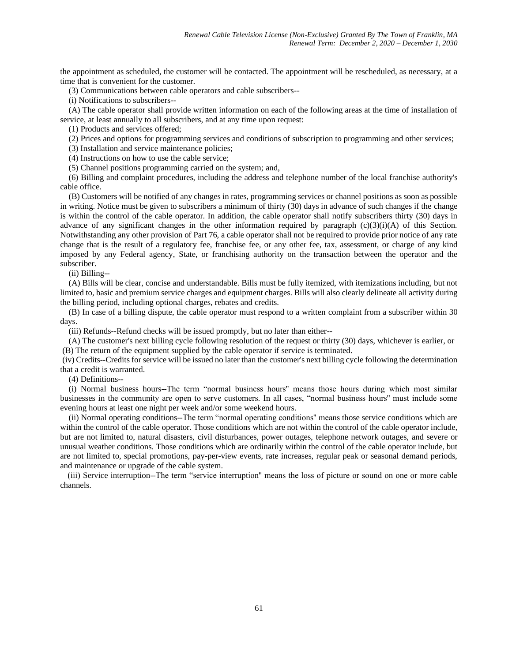the appointment as scheduled, the customer will be contacted. The appointment will be rescheduled, as necessary, at a time that is convenient for the customer.

(3) Communications between cable operators and cable subscribers--

(i) Notifications to subscribers--

 (A) The cable operator shall provide written information on each of the following areas at the time of installation of service, at least annually to all subscribers, and at any time upon request:

(1) Products and services offered;

(2) Prices and options for programming services and conditions of subscription to programming and other services;

(3) Installation and service maintenance policies;

(4) Instructions on how to use the cable service;

(5) Channel positions programming carried on the system; and,

 (6) Billing and complaint procedures, including the address and telephone number of the local franchise authority's cable office.

 (B) Customers will be notified of any changes in rates, programming services or channel positions as soon as possible in writing. Notice must be given to subscribers a minimum of thirty (30) days in advance of such changes if the change is within the control of the cable operator. In addition, the cable operator shall notify subscribers thirty (30) days in advance of any significant changes in the other information required by paragraph  $(c)(3)(i)(A)$  of this Section. Notwithstanding any other provision of Part 76, a cable operator shall not be required to provide prior notice of any rate change that is the result of a regulatory fee, franchise fee, or any other fee, tax, assessment, or charge of any kind imposed by any Federal agency, State, or franchising authority on the transaction between the operator and the subscriber.

(ii) Billing--

 (A) Bills will be clear, concise and understandable. Bills must be fully itemized, with itemizations including, but not limited to, basic and premium service charges and equipment charges. Bills will also clearly delineate all activity during the billing period, including optional charges, rebates and credits.

 (B) In case of a billing dispute, the cable operator must respond to a written complaint from a subscriber within 30 days.

(iii) Refunds--Refund checks will be issued promptly, but no later than either--

 (A) The customer's next billing cycle following resolution of the request or thirty (30) days, whichever is earlier, or (B) The return of the equipment supplied by the cable operator if service is terminated.

(iv) Credits--Credits for service will be issued no later than the customer's next billing cycle following the determination that a credit is warranted.

(4) Definitions--

 (i) Normal business hours--The term "normal business hours'' means those hours during which most similar businesses in the community are open to serve customers. In all cases, "normal business hours'' must include some evening hours at least one night per week and/or some weekend hours.

 (ii) Normal operating conditions--The term "normal operating conditions'' means those service conditions which are within the control of the cable operator. Those conditions which are not within the control of the cable operator include, but are not limited to, natural disasters, civil disturbances, power outages, telephone network outages, and severe or unusual weather conditions. Those conditions which are ordinarily within the control of the cable operator include, but are not limited to, special promotions, pay-per-view events, rate increases, regular peak or seasonal demand periods, and maintenance or upgrade of the cable system.

(iii) Service interruption--The term "service interruption'' means the loss of picture or sound on one or more cable channels.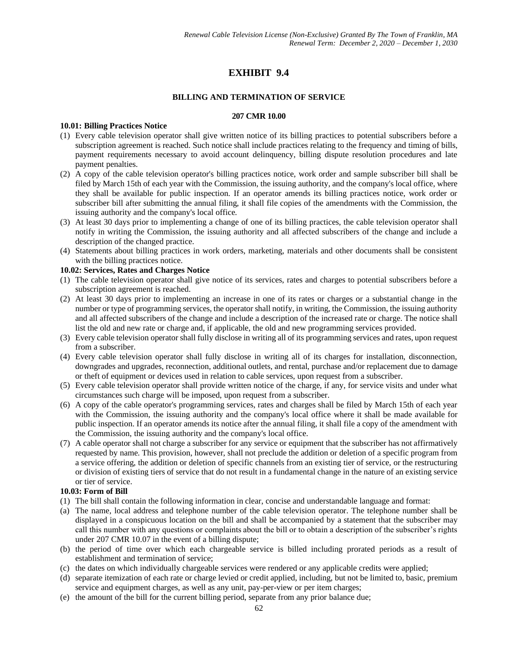## **EXHIBIT 9.4**

#### **BILLING AND TERMINATION OF SERVICE**

#### **207 CMR 10.00**

#### **10.01: Billing Practices Notice**

- (1) Every cable television operator shall give written notice of its billing practices to potential subscribers before a subscription agreement is reached. Such notice shall include practices relating to the frequency and timing of bills, payment requirements necessary to avoid account delinquency, billing dispute resolution procedures and late payment penalties.
- (2) A copy of the cable television operator's billing practices notice, work order and sample subscriber bill shall be filed by March 15th of each year with the Commission, the issuing authority, and the company's local office, where they shall be available for public inspection. If an operator amends its billing practices notice, work order or subscriber bill after submitting the annual filing, it shall file copies of the amendments with the Commission, the issuing authority and the company's local office.
- (3) At least 30 days prior to implementing a change of one of its billing practices, the cable television operator shall notify in writing the Commission, the issuing authority and all affected subscribers of the change and include a description of the changed practice.
- (4) Statements about billing practices in work orders, marketing, materials and other documents shall be consistent with the billing practices notice.

#### **10.02: Services, Rates and Charges Notice**

- (1) The cable television operator shall give notice of its services, rates and charges to potential subscribers before a subscription agreement is reached.
- (2) At least 30 days prior to implementing an increase in one of its rates or charges or a substantial change in the number or type of programming services, the operator shall notify, in writing, the Commission, the issuing authority and all affected subscribers of the change and include a description of the increased rate or charge. The notice shall list the old and new rate or charge and, if applicable, the old and new programming services provided.
- (3) Every cable television operator shall fully disclose in writing all of its programming services and rates, upon request from a subscriber.
- (4) Every cable television operator shall fully disclose in writing all of its charges for installation, disconnection, downgrades and upgrades, reconnection, additional outlets, and rental, purchase and/or replacement due to damage or theft of equipment or devices used in relation to cable services, upon request from a subscriber.
- (5) Every cable television operator shall provide written notice of the charge, if any, for service visits and under what circumstances such charge will be imposed, upon request from a subscriber.
- (6) A copy of the cable operator's programming services, rates and charges shall be filed by March 15th of each year with the Commission, the issuing authority and the company's local office where it shall be made available for public inspection. If an operator amends its notice after the annual filing, it shall file a copy of the amendment with the Commission, the issuing authority and the company's local office.
- (7) A cable operator shall not charge a subscriber for any service or equipment that the subscriber has not affirmatively requested by name. This provision, however, shall not preclude the addition or deletion of a specific program from a service offering, the addition or deletion of specific channels from an existing tier of service, or the restructuring or division of existing tiers of service that do not result in a fundamental change in the nature of an existing service or tier of service.

#### **10.03: Form of Bill**

- (1) The bill shall contain the following information in clear, concise and understandable language and format:
- (a) The name, local address and telephone number of the cable television operator. The telephone number shall be displayed in a conspicuous location on the bill and shall be accompanied by a statement that the subscriber may call this number with any questions or complaints about the bill or to obtain a description of the subscriber's rights under 207 CMR 10.07 in the event of a billing dispute;
- (b) the period of time over which each chargeable service is billed including prorated periods as a result of establishment and termination of service;
- (c) the dates on which individually chargeable services were rendered or any applicable credits were applied;
- (d) separate itemization of each rate or charge levied or credit applied, including, but not be limited to, basic, premium service and equipment charges, as well as any unit, pay-per-view or per item charges;
- (e) the amount of the bill for the current billing period, separate from any prior balance due;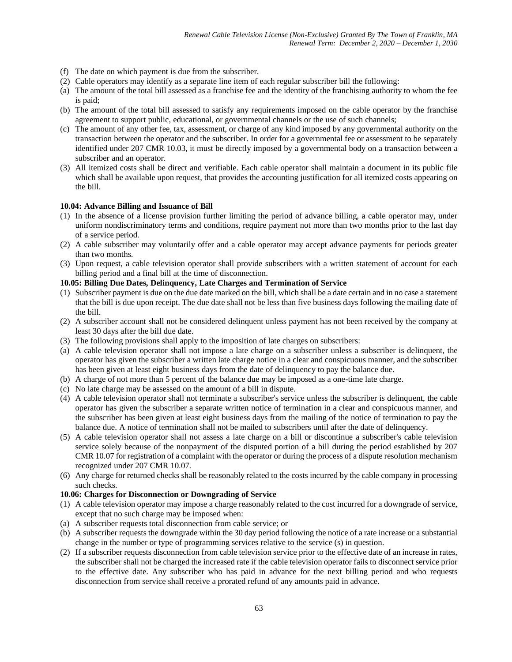- (f) The date on which payment is due from the subscriber.
- (2) Cable operators may identify as a separate line item of each regular subscriber bill the following:
- (a) The amount of the total bill assessed as a franchise fee and the identity of the franchising authority to whom the fee is paid;
- (b) The amount of the total bill assessed to satisfy any requirements imposed on the cable operator by the franchise agreement to support public, educational, or governmental channels or the use of such channels;
- (c) The amount of any other fee, tax, assessment, or charge of any kind imposed by any governmental authority on the transaction between the operator and the subscriber. In order for a governmental fee or assessment to be separately identified under 207 CMR 10.03, it must be directly imposed by a governmental body on a transaction between a subscriber and an operator.
- (3) All itemized costs shall be direct and verifiable. Each cable operator shall maintain a document in its public file which shall be available upon request, that provides the accounting justification for all itemized costs appearing on the bill.

#### **10.04: Advance Billing and Issuance of Bill**

- (1) In the absence of a license provision further limiting the period of advance billing, a cable operator may, under uniform nondiscriminatory terms and conditions, require payment not more than two months prior to the last day of a service period.
- (2) A cable subscriber may voluntarily offer and a cable operator may accept advance payments for periods greater than two months.
- (3) Upon request, a cable television operator shall provide subscribers with a written statement of account for each billing period and a final bill at the time of disconnection.

#### **10.05: Billing Due Dates, Delinquency, Late Charges and Termination of Service**

- (1) Subscriber payment is due on the due date marked on the bill, which shall be a date certain and in no case a statement that the bill is due upon receipt. The due date shall not be less than five business days following the mailing date of the bill.
- (2) A subscriber account shall not be considered delinquent unless payment has not been received by the company at least 30 days after the bill due date.
- (3) The following provisions shall apply to the imposition of late charges on subscribers:
- (a) A cable television operator shall not impose a late charge on a subscriber unless a subscriber is delinquent, the operator has given the subscriber a written late charge notice in a clear and conspicuous manner, and the subscriber has been given at least eight business days from the date of delinquency to pay the balance due.
- (b) A charge of not more than 5 percent of the balance due may be imposed as a one-time late charge.
- (c) No late charge may be assessed on the amount of a bill in dispute.
- (4) A cable television operator shall not terminate a subscriber's service unless the subscriber is delinquent, the cable operator has given the subscriber a separate written notice of termination in a clear and conspicuous manner, and the subscriber has been given at least eight business days from the mailing of the notice of termination to pay the balance due. A notice of termination shall not be mailed to subscribers until after the date of delinquency.
- (5) A cable television operator shall not assess a late charge on a bill or discontinue a subscriber's cable television service solely because of the nonpayment of the disputed portion of a bill during the period established by 207 CMR 10.07 for registration of a complaint with the operator or during the process of a dispute resolution mechanism recognized under 207 CMR 10.07.
- (6) Any charge for returned checks shall be reasonably related to the costs incurred by the cable company in processing such checks.

#### **10.06: Charges for Disconnection or Downgrading of Service**

- (1) A cable television operator may impose a charge reasonably related to the cost incurred for a downgrade of service, except that no such charge may be imposed when:
- (a) A subscriber requests total disconnection from cable service; or
- (b) A subscriber requests the downgrade within the 30 day period following the notice of a rate increase or a substantial change in the number or type of programming services relative to the service (s) in question.
- (2) If a subscriber requests disconnection from cable television service prior to the effective date of an increase in rates, the subscriber shall not be charged the increased rate if the cable television operator fails to disconnect service prior to the effective date. Any subscriber who has paid in advance for the next billing period and who requests disconnection from service shall receive a prorated refund of any amounts paid in advance.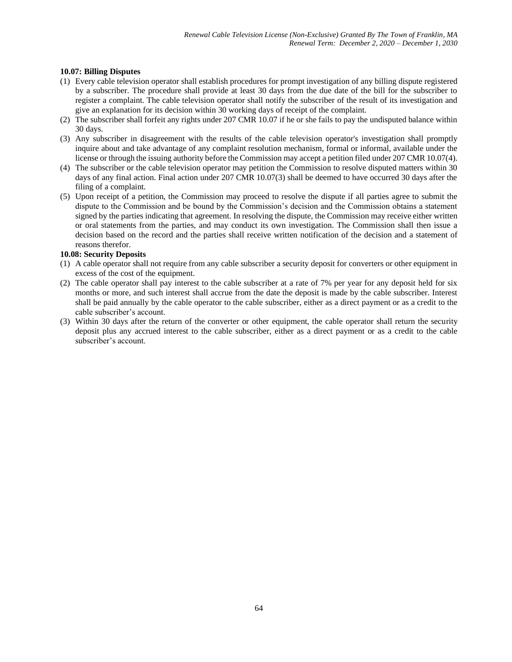#### **10.07: Billing Disputes**

- (1) Every cable television operator shall establish procedures for prompt investigation of any billing dispute registered by a subscriber. The procedure shall provide at least 30 days from the due date of the bill for the subscriber to register a complaint. The cable television operator shall notify the subscriber of the result of its investigation and give an explanation for its decision within 30 working days of receipt of the complaint.
- (2) The subscriber shall forfeit any rights under 207 CMR 10.07 if he or she fails to pay the undisputed balance within 30 days.
- (3) Any subscriber in disagreement with the results of the cable television operator's investigation shall promptly inquire about and take advantage of any complaint resolution mechanism, formal or informal, available under the license or through the issuing authority before the Commission may accept a petition filed under 207 CMR 10.07(4).
- (4) The subscriber or the cable television operator may petition the Commission to resolve disputed matters within 30 days of any final action. Final action under 207 CMR 10.07(3) shall be deemed to have occurred 30 days after the filing of a complaint.
- (5) Upon receipt of a petition, the Commission may proceed to resolve the dispute if all parties agree to submit the dispute to the Commission and be bound by the Commission's decision and the Commission obtains a statement signed by the parties indicating that agreement. In resolving the dispute, the Commission may receive either written or oral statements from the parties, and may conduct its own investigation. The Commission shall then issue a decision based on the record and the parties shall receive written notification of the decision and a statement of reasons therefor.

#### **10.08: Security Deposits**

- (1) A cable operator shall not require from any cable subscriber a security deposit for converters or other equipment in excess of the cost of the equipment.
- (2) The cable operator shall pay interest to the cable subscriber at a rate of 7% per year for any deposit held for six months or more, and such interest shall accrue from the date the deposit is made by the cable subscriber. Interest shall be paid annually by the cable operator to the cable subscriber, either as a direct payment or as a credit to the cable subscriber's account.
- (3) Within 30 days after the return of the converter or other equipment, the cable operator shall return the security deposit plus any accrued interest to the cable subscriber, either as a direct payment or as a credit to the cable subscriber's account.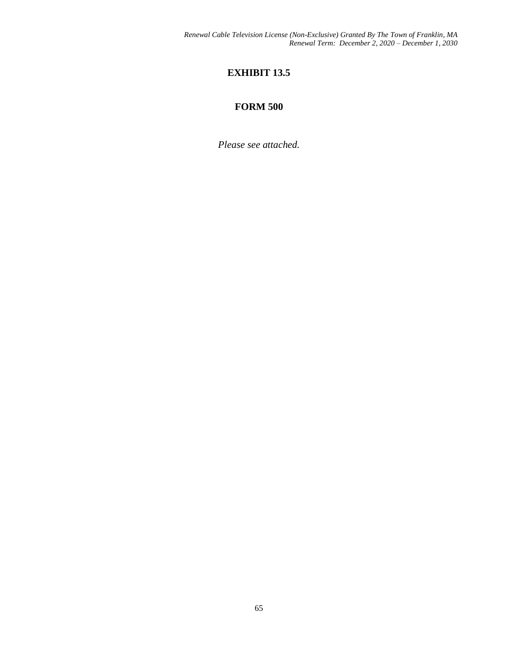## **EXHIBIT 13.5**

## **FORM 500**

*Please see attached.*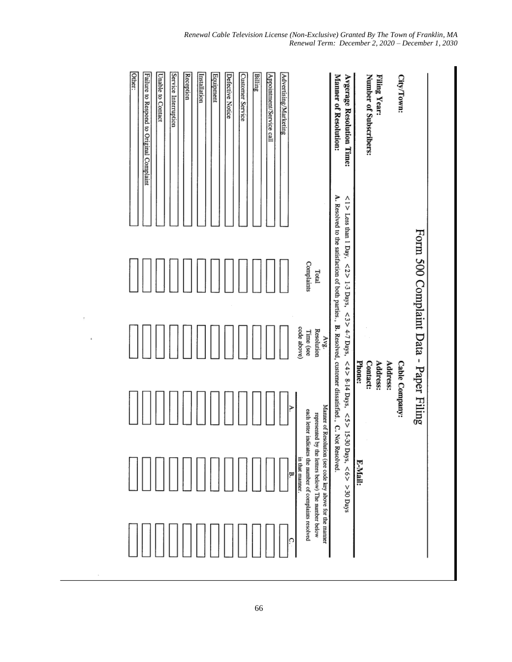| Other:<br>Failure to Respond to Original Complaint<br>Service Interruption<br>Unable to Contact<br><b>Reception</b><br>Appointment/Service call<br><b>Installation</b><br>Billing<br>Advertising/Marketing<br>Equipment<br>Defective Notice<br><b>Customer Service</b><br>Complaints<br>Total<br>code above)<br>Resolution<br>Time (see<br>Avg. | <b>Avgerage Resolution Time:</b><br>Manner of Resolution:<br>A. Resolved to the satisfaction of both parties.,<br>$\frac{1}{2}$<br>Less than 1 Day,<br><2><br>1-3 Days,<br>$<$ 3 $>$ 4-7 Days, | Number of Subscribers:<br>Filing Year:<br>City/Town:<br>Phone:<br>Contact: | Form 500 Complaint Data - |
|-------------------------------------------------------------------------------------------------------------------------------------------------------------------------------------------------------------------------------------------------------------------------------------------------------------------------------------------------|------------------------------------------------------------------------------------------------------------------------------------------------------------------------------------------------|----------------------------------------------------------------------------|---------------------------|
| Manner of Resolution (see code key above for the manner<br>each letter indicates the number of complaints resolved<br>represented<br>by the letters below) The number below<br>in that manner<br>ᄆ<br>റ                                                                                                                                         | B. Resolved, customer dissatisfied., C. Not Resolved<br>$<4>$ 8-14 Days,<br><s><br/>15-30 Days, &lt;6&gt;<br/><math display="inline">&gt;30</math> Days</s>                                    | Address:<br><b>Address:</b><br>Cable Company:<br>E-Mail:                   | Paper Filing              |

÷

 $\sim$